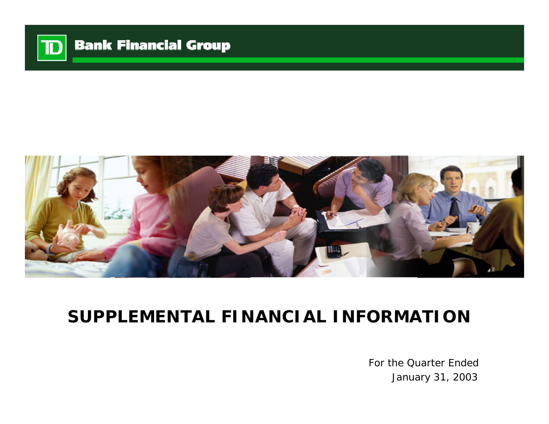

# **Bank Financial Group**



# **SUPPLEMENTAL FINANCIAL INFORMATION**

For the Quarter Ended January 31, 2003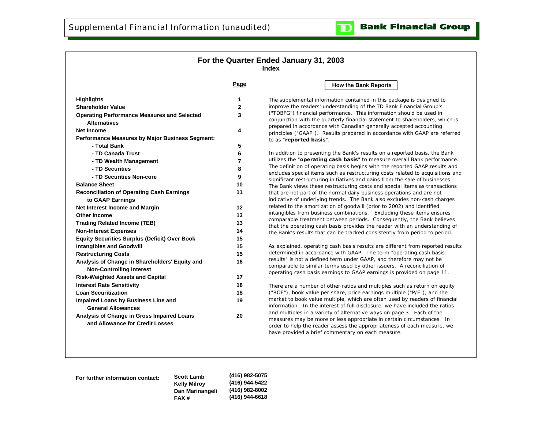#### **For the Quarter Ended January 31, 2003 Index**

**Page**

| <b>Highlights</b><br><b>Shareholder Value</b><br><b>Operating Performance Measures and Selected</b><br><b>Alternatives</b> | 1<br>2<br>3<br>4<br>5 |
|----------------------------------------------------------------------------------------------------------------------------|-----------------------|
|                                                                                                                            |                       |
|                                                                                                                            |                       |
|                                                                                                                            |                       |
| <b>Net Income</b>                                                                                                          |                       |
| <b>Performance Measures by Major Business Segment:</b>                                                                     |                       |
| - Total Bank                                                                                                               |                       |
| - TD Canada Trust                                                                                                          | 6                     |
| - TD Wealth Management                                                                                                     | 7                     |
| - TD Securities                                                                                                            | 8                     |
| - TD Securities Non-core                                                                                                   | 9                     |
| <b>Balance Sheet</b>                                                                                                       | 10                    |
| <b>Reconciliation of Operating Cash Earnings</b>                                                                           | 11                    |
| to GAAP Earnings                                                                                                           |                       |
| Net Interest Income and Margin                                                                                             | 12                    |
| Other Income                                                                                                               | 13                    |
| <b>Trading Related Income (TEB)</b>                                                                                        | 13                    |
| <b>Non-Interest Expenses</b>                                                                                               | 14                    |
| <b>Equity Securities Surplus (Deficit) Over Book</b>                                                                       | 15                    |
| <b>Intangibles and Goodwill</b>                                                                                            | 15                    |
| <b>Restructuring Costs</b>                                                                                                 | 15                    |
| Analysis of Change in Shareholders' Equity and<br><b>Non-Controlling Interest</b>                                          | 16                    |
| <b>Risk-Weighted Assets and Capital</b>                                                                                    | 17                    |
| <b>Interest Rate Sensitivity</b>                                                                                           | 18                    |
| <b>Loan Securitization</b>                                                                                                 | 18                    |
| Impaired Loans by Business Line and<br><b>General Allowances</b>                                                           | 19                    |
| Analysis of Change in Gross Impaired Loans<br>and Allowance for Credit Losses                                              | 20                    |

#### **How the Bank Reports**

 $\mathbf T$ 

The supplemental information contained in this package is designed to improve the readers' understanding of the TD Bank Financial Group's ("TDBFG") financial performance. This information should be used in conjunction with the quarterly financial statement to shareholders, which is prepared in accordance with Canadian generally accepted accounting principles ("GAAP"). Results prepared in accordance with GAAP are referred to as "**reported basis**".

In addition to presenting the Bank's results on a reported basis, the Bank utilizes the "**operating cash basis**" to measure overall Bank performance. The definition of operating basis begins with the reported GAAP results and excludes special items such as restructuring costs related to acquisitions and significant restructuring initiatives and gains from the sale of businesses. The Bank views these restructuring costs and special items as transactions that are not part of the normal daily business operations and are not indicative of underlying trends. The Bank also excludes non-cash charges related to the amortization of goodwill (prior to 2002) and identified intangibles from business combinations. Excluding these items ensures comparable treatment between periods. Consequently, the Bank believes that the operating cash basis provides the reader with an understanding of the Bank's results that can be tracked consistently from period to period.

As explained, operating cash basis results are different from reported results determined in accordance with GAAP. The term "operating cash basis results" is not a defined term under GAAP, and therefore may not be comparable to similar terms used by other issuers. A reconciliation of operating cash basis earnings to GAAP earnings is provided on page 11.

There are a number of other ratios and multiples such as return on equity ("ROE"), book value per share, price earnings multiple ("P/E"), and the market to book value multiple, which are often used by readers of financial information. In the interest of full disclosure, we have included the ratios and multiples in a variety of alternative ways on page 3. Each of the measures may be more or less appropriate in certain circumstances. In order to help the reader assess the appropriateness of each measure, we have provided a brief commentary on each measure.

**For further information contact: Scott Lamb**

**Kelly Milroy Dan Marinangeli FAX # (416) 982-5075 (416) 944-5422 (416) 982-8002 (416) 944-6618**

#### **Bank Financial Group**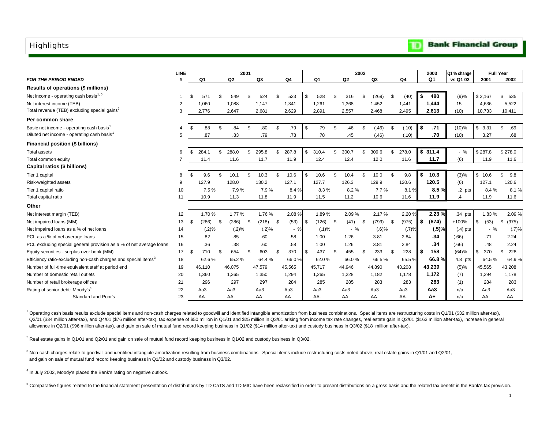#### <span id="page-2-0"></span>**Highlights**

|                                                                            | <b>LINE</b> |             |     |        | 2001 |        |     |                |             |      |        | 2002 |          |     |        |    | 2003           | Q1 % change |            | <b>Full Year</b> |
|----------------------------------------------------------------------------|-------------|-------------|-----|--------|------|--------|-----|----------------|-------------|------|--------|------|----------|-----|--------|----|----------------|-------------|------------|------------------|
| <b>FOR THE PERIOD ENDED</b>                                                | #           | Q1          |     | Q2     |      | Q3     |     | Q <sub>4</sub> | Q1          |      | Q2     |      | Q3       |     | Q4     |    | Q <sub>1</sub> | vs Q1 02    | 2001       | 2002             |
| Results of operations (\$ millions)                                        |             |             |     |        |      |        |     |                |             |      |        |      |          |     |        |    |                |             |            |                  |
| Net income - operating cash basis <sup>1, 5</sup>                          |             | \$<br>571   | \$  | 549    | \$   | 524    | \$  | 523            | \$<br>528   | \$   | 316    | \$   | (269)    | Ŝ.  | (40)   | S  | 480            | (9)%        | \$2,167    | \$<br>535        |
| Net interest income (TEB)                                                  | 2           | 1,060       |     | 1,088  |      | 1,147  |     | 1,341          | 1,261       |      | 1,368  |      | 1,452    |     | 1,441  |    | 1,444          | 15          | 4,636      | 5,522            |
| Total revenue (TEB) excluding special gains <sup>2</sup>                   | 3           | 2,776       |     | 2,647  |      | 2,681  |     | 2,629          | 2,891       |      | 2,557  |      | 2,468    |     | 2,495  |    | 2,613          | (10)        | 10,733     | 10,411           |
| Per common share                                                           |             |             |     |        |      |        |     |                |             |      |        |      |          |     |        |    |                |             |            |                  |
| Basic net income - operating cash basis <sup>1</sup>                       | 4           | \$<br>.88   | \$  | .84    | \$   | .80    | \$  | .79            | \$<br>.79   | \$   | .46    | \$   | (.46)    | \$  | (.10)  | \$ | .71            | $(10)\%$    | \$3.31     | \$<br>.69        |
| Diluted net income - operating cash basis                                  | 5           | .87         |     | .83    |      | .79    |     | .78            | .78         |      | .45    |      | (.46)    |     | (.10)  |    | .70            | (10)        | 3.27       | .68              |
| Financial position (\$ billions)                                           |             |             |     |        |      |        |     |                |             |      |        |      |          |     |        |    |                |             |            |                  |
| <b>Total assets</b>                                                        | 6           | \$<br>284.1 | \$  | 288.0  | \$   | 295.8  | \$  | 287.8          | \$<br>310.4 | \$   | 300.7  |      | 309.6    | \$  | 278.0  |    | \$311.4        | $-$ %       | \$287.8    | \$278.0          |
| Total common equity                                                        |             | 11.4        |     | 11.6   |      | 11.7   |     | 11.9           | 12.4        |      | 12.4   |      | 12.0     |     | 11.6   |    | 11.7           | (6)         | 11.9       | 11.6             |
| Capital ratios (\$ billions)                                               |             |             |     |        |      |        |     |                |             |      |        |      |          |     |        |    |                |             |            |                  |
| Tier 1 capital                                                             | 8           | \$<br>9.6   | \$  | 10.1   | \$   | 10.3   | \$  | 10.6           | \$<br>10.6  | \$   | 10.4   | \$   | 10.0     | Ŝ.  | 9.8    | \$ | 10.3           | (3)%        | \$10.6     | \$<br>9.8        |
| Risk-weighted assets                                                       | 9           | 127.9       |     | 128.0  |      | 130.2  |     | 127.1          | 127.7       |      | 126.3  |      | 129.9    |     | 120.6  |    | 120.5          | (6)         | 127.1      | 120.6            |
| Tier 1 capital ratio                                                       | 10          | 7.5%        |     | 7.9%   |      | 7.9%   |     | 8.4%           | 8.3%        |      | 8.2%   |      | 7.7%     |     | 8.1%   |    | 8.5%           | $.2$ pts    | 8.4%       | 8.1%             |
| Total capital ratio                                                        | 11          | 10.9        |     | 11.3   |      | 11.8   |     | 11.9           | 11.5        |      | 11.2   |      | 10.6     |     | 11.6   |    | 11.9           | $\cdot$     | 11.9       | 11.6             |
| Other                                                                      |             |             |     |        |      |        |     |                |             |      |        |      |          |     |        |    |                |             |            |                  |
| Net interest margin (TEB)                                                  | 12          | 1.70%       |     | 1.77%  |      | 1.76%  |     | 2.08%          | 1.89%       |      | 2.09%  |      | 2.17%    |     | 2.20%  |    | 2.23 %         | .34 pts     | 1.83%      | 2.09%            |
| Net impaired loans (MM)                                                    | 13          | \$<br>(286) | -\$ | (286)  | -S   | (218)  | -\$ | (53)           | \$<br>(126) | - \$ | (41)   | - \$ | (799)    | -\$ | (975)  | \$ | (674)          | $+100%$     | \$<br>(53) | \$<br>(975)      |
| Net impaired loans as a % of net loans                                     | 14          | (.2)%       |     | (.2)%  |      | (.2)%  |     | $-$ %          | (.1)%       |      | $-$ %  |      | $(.6)$ % |     | (.7)%  |    | (.5)%          | $(.4)$ pts  | $-$ %      | (.7)%            |
| PCL as a % of net average loans                                            | 15          | .82         |     | .85    |      | .60    |     | .58            | 1.00        |      | 1.26   |      | 3.81     |     | 2.84   |    | .34            | (.66)       | .71        | 2.24             |
| PCL excluding special general provision as a % of net average loans        | 16          | .36         |     | .38    |      | .60    |     | .58            | 1.00        |      | 1.26   |      | 3.81     |     | 2.84   |    | .34            | (.66)       | .48        | 2.24             |
| Equity securities - surplus over book (MM)                                 | 17          | \$<br>710   | \$  | 654    | -S   | 603    | S.  | 370            | \$<br>437   | S    | 455    | -\$  | 233      | \$  | 228    | \$ | 158            | (64)%       | \$<br>370  | \$<br>228        |
| Efficiency ratio-excluding non-cash charges and special items <sup>3</sup> | 18          | 62.6%       |     | 65.2%  |      | 64.4%  |     | 66.0%          | 62.0%       |      | 66.0%  |      | 66.5%    |     | 65.5%  |    | 66.8%          | $4.8$ pts   | 64.5%      | 64.9%            |
| Number of full-time equivalent staff at period end                         | 19          | 46,110      |     | 46,075 |      | 47,579 |     | 45,565         | 45,717      |      | 44,946 |      | 44,890   |     | 43,208 |    | 43.239         | (5)%        | 45,565     | 43,208           |
| Number of domestic retail outlets                                          | 20          | 1,360       |     | 1,365  |      | 1,350  |     | 1,294          | 1,265       |      | 1,228  |      | 1,182    |     | 1,178  |    | 1.172          | (7)         | 1,294      | 1,178            |
| Number of retail brokerage offices                                         | 21          | 296         |     | 297    |      | 297    |     | 284            | 285         |      | 285    |      | 283      |     | 283    |    | 283            | (1)         | 284        | 283              |
| Rating of senior debt: Moody's <sup>4</sup>                                | 22          | Aa3         |     | Aa3    |      | Aa3    |     | Aa3            | Aa3         |      | Aa3    |      | Aa3      |     | АаЗ    |    | Aa3            | n/a         | Aa3        | Аа3              |
| Standard and Poor's                                                        | 23          | AA-         |     | AA-    |      | AA-    |     | AA-            | AA-         |      | AA-    |      | AA-      |     | AA-    |    | A+             | n/a         | AA-        | AA-              |

<sup>1</sup> Operating cash basis results exclude special items and non-cash charges related to goodwill and identified intangible amortization from business combinations. Special items are restructuring costs in Q1/01 (\$32 million Q3/01 (\$34 million after-tax), and Q4/01 (\$76 million after-tax), tax expense of \$50 million in Q1/01 and \$25 million in Q3/01 arising from income tax rate changes, real estate gain in Q2/01 (\$163 million after-tax), incre allowance in Q2/01 (\$96 million after-tax), and gain on sale of mutual fund record keeping business in Q1/02 (\$14 million after-tax) and custody business in Q3/02 (\$18 million after-tax).

<sup>2</sup> Real estate gains in Q1/01 and Q2/01 and gain on sale of mutual fund record keeping business in Q1/02 and custody business in Q3/02.

 $3$  Non-cash charges relate to goodwill and identified intangible amortization resulting from business combinations. Special items include restructuring costs noted above, real estate gains in Q1/01 and Q2/01, and gain on sale of mutual fund record keeping business in Q1/02 and custody business in Q3/02.

<sup>4</sup> In July 2002, Moody's placed the Bank's rating on negative outlook.

<sup>5</sup> Comparative figures related to the financial statement presentation of distributions by TD CaTS and TD MIC have been reclassified in order to present distributions on a gross basis and the related tax benefit in the Ba

#### **Bank Financial Group**

TD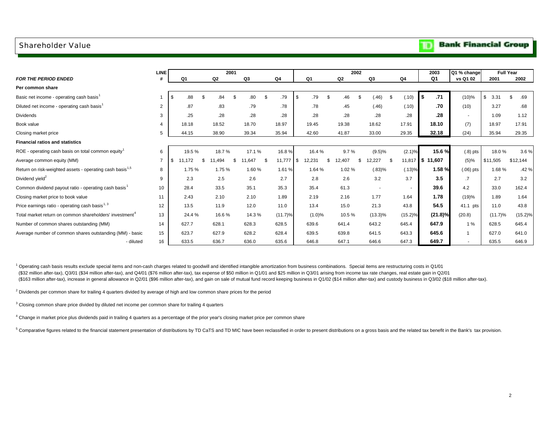#### <span id="page-3-0"></span>Shareholder Value

|                                                                      | LINE           |              | 2001        |      |        |     |                |     |              | 2002   |     |                          |                | 2003            | Q1 % change    | <b>Full Year</b> |             |
|----------------------------------------------------------------------|----------------|--------------|-------------|------|--------|-----|----------------|-----|--------------|--------|-----|--------------------------|----------------|-----------------|----------------|------------------|-------------|
| <b>FOR THE PERIOD ENDED</b>                                          |                | Q1           | Q2          |      | Q3     |     | Q <sub>4</sub> |     | Q1           | Q2     |     | Q <sub>3</sub>           | Q <sub>4</sub> | Q <sub>1</sub>  | vs Q1 02       | 2001             | 2002        |
| Per common share                                                     |                |              |             |      |        |     |                |     |              |        |     |                          |                |                 |                |                  |             |
| Basic net income - operating cash basis <sup>1</sup>                 |                | .88<br>\$    | \$<br>.84   | - \$ | .80    | \$  | .79            | \$  | .79<br>-\$   | .46    |     | (.46)<br>S.              | (.10)          | .71<br>\$       | $(10)\%$       | 3.31             | - \$<br>.69 |
| Diluted net income - operating cash basis <sup>1</sup>               | $\overline{2}$ | .87          | .83         |      | .79    |     | .78            |     | .78          | .45    |     | (.46)                    | (.10)          | .70             | (10)           | 3.27             | .68         |
| <b>Dividends</b>                                                     | 3              | .25          | .28         |      | .28    |     | .28            |     | .28          | .28    |     | .28                      | .28            | .28             | $\sim$         | 1.09             | 1.12        |
| Book value                                                           |                | 18.18        | 18.52       |      | 18.70  |     | 18.97          |     | 19.45        | 19.38  |     | 18.62                    | 17.91          | 18.10           | (7)            | 18.97            | 17.91       |
| Closing market price                                                 | 5              | 44.15        | 38.90       |      | 39.34  |     | 35.94          |     | 42.60        | 41.87  |     | 33.00                    | 29.35          | 32.18           | (24)           | 35.94            | 29.35       |
| <b>Financial ratios and statistics</b>                               |                |              |             |      |        |     |                |     |              |        |     |                          |                |                 |                |                  |             |
| ROE - operating cash basis on total common equity                    | 6              | 19.5 %       | 18.7%       |      | 17.1 % |     | 16.8%          |     | 16.4%        | 9.7%   |     | (9.5)%                   | $(2.1)\%$      | 15.6 %          | $(.8)$ pts     | 18.0%            | 3.6%        |
| Average common equity (MM)                                           | $\overline{7}$ | \$<br>11,172 | \$<br>1,494 | \$   | 11.647 | -\$ | 11,777         | -\$ | 12,231<br>\$ | 12,407 | \$. | 12,227<br>\$             |                | 11,817 \$11,607 | $(5)\%$        | \$11,505         | \$12,144    |
| Return on risk-weighted assets - operating cash basis <sup>1,5</sup> | 8              | 1.75 %       | 1.75 %      |      | 1.60%  |     | 1.61 %         |     | 1.64 %       | 1.02%  |     | (.83)%                   | (.13)%         | 1.58%           | $(.06)$ pts    | 1.68%            | .42 %       |
| Dividend yield <sup>2</sup>                                          | 9              | 2.3          | 2.5         |      | 2.6    |     | 2.7            |     | 2.8          | 2.6    |     | 3.2                      | 3.7            | 3.5             | $\cdot$        | 2.7              | 3.2         |
| Common dividend payout ratio - operating cash basis <sup>1</sup>     | 10             | 28.4         | 33.5        |      | 35.1   |     | 35.3           |     | 35.4         | 61.3   |     | $\overline{\phantom{a}}$ | $\blacksquare$ | 39.6            | 4.2            | 33.0             | 162.4       |
| Closing market price to book value                                   | 11             | 2.43         | 2.10        |      | 2.10   |     | 1.89           |     | 2.19         | 2.16   |     | 1.77                     | 1.64           | 1.78            | (19)%          | 1.89             | 1.64        |
| Price earnings ratio - operating cash basis <sup>1, 3</sup>          | 12             | 13.5         | 11.9        |      | 12.0   |     | 11.0           |     | 13.4         | 15.0   |     | 21.3                     | 43.8           | 54.5            | 41.1 pts       | 11.0             | 43.8        |
| Total market return on common shareholders' investment <sup>4</sup>  | 13             | 24.4 %       | 16.6%       |      | 14.3 % |     | $(11.7)\%$     |     | (1.0)%       | 10.5%  |     | $(13.3)\%$               | (15.2)%        | $(21.8)\%$      | (20.8)         | (11.7)%          | (15.2)%     |
| Number of common shares outstanding (MM)                             | 14             | 627.7        | 628.1       |      | 628.3  |     | 628.5          |     | 639.6        | 641.4  |     | 643.2                    | 645.4          | 647.9           | 1%             | 628.5            | 645.4       |
| Average number of common shares outstanding (MM) - basic             | 15             | 623.7        | 627.9       |      | 628.2  |     | 628.4          |     | 639.5        | 639.8  |     | 641.5                    | 643.3          | 645.6           | $\overline{1}$ | 627.0            | 641.0       |
| - diluted                                                            | 16             | 633.5        | 636.7       |      | 636.0  |     | 635.6          |     | 646.8        | 647.1  |     | 646.6                    | 647.3          | 649.7           |                | 635.5            | 646.9       |

<sup>1</sup> Operating cash basis results exclude special items and non-cash charges related to goodwill and identified intangible amortization from business combinations. Special items are restructuring costs in Q1/01 (\$32 million after-tax), Q3/01 (\$34 million after-tax), and Q4/01 (\$76 million after-tax), tax expense of \$50 million in Q1/01 and \$25 million in Q3/01 arising from income tax rate changes, real estate gain in Q2/01 (\$163 million after-tax), increase in general allowance in Q2/01 (\$96 million after-tax), and gain on sale of mutual fund record keeping business in Q1/02 (\$14 million after-tax) and custody business in Q3/02 (\$18 million

<sup>2</sup> Dividends per common share for trailing 4 quarters divided by average of high and low common share prices for the period

 $3$  Closing common share price divided by diluted net income per common share for trailing 4 quarters

4 Change in market price plus dividends paid in trailing 4 quarters as a percentage of the prior year's closing market price per common share

<sup>5</sup> Comparative figures related to the financial statement presentation of distributions by TD CaTS and TD MIC have been reclassified in order to present distributions on a gross basis and the related tax benefit in the Ba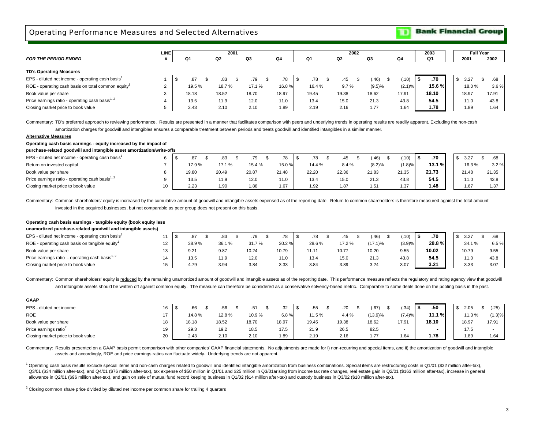<span id="page-4-0"></span>Operating Performance Measures and Selected Alternatives

**Bank Financial Group** 

Ю

|                                                              | <b>LINE</b> |        |       | 2001 |       |       |    |       | 2002  |       |               |        |   | 2003      |    |       | <b>Full Year</b> |      |
|--------------------------------------------------------------|-------------|--------|-------|------|-------|-------|----|-------|-------|-------|---------------|--------|---|-----------|----|-------|------------------|------|
| <b>FOR THE PERIOD ENDED</b>                                  |             | Q1     | Q2    |      | Q3    | Q4    |    | Q1    | Q2    | Q3    |               | Q4     |   | Q1        |    | 2001  | 2002             |      |
| <b>TD's Operating Measures</b>                               |             |        |       |      |       |       |    |       |       |       |               |        |   |           |    |       |                  |      |
| EPS - diluted net income - operating cash basis <sup>1</sup> |             | .87    | .83   |      | .79   | .78   | .ზ | .78   | .45   |       | (.46)<br>- \$ | .10)   | ა | .70       | -S | 3.27  |                  |      |
| ROE - operating cash basis on total common equity            |             | 19.5 % | 18.7% |      | 17.1% | 16.8% |    | 16.4% | 9.7%  |       | (9.5)%        | (2.1)% |   | $15.6 \%$ |    | 18.0% |                  | 3.6% |
| Book value per share                                         |             | 18.18  | 18.52 |      | 18.70 | 18.97 |    | 19.45 | 19.38 | 18.62 |               | 17.91  |   | 18.10     |    | 18.97 | 17.91            |      |
| Price earnings ratio - operating cash basis <sup>1, 2</sup>  |             | 13.5   | 11.9  |      | 12.0  | 11.0  |    | 13.4  | 15.0  | 21.3  |               | 43.8   |   | 54.5      |    | 11.0  | 43.8             |      |
| Closing market price to book value                           |             | 2.43   | 2.10  |      | 2.10  | 1.89  |    | 2.19  | 2.16  | 1.77  |               | 1.64   |   | 1.78      |    | 1.89  | 1.64             |      |

Commentary: TD's preferred approach to reviewing performance. Results are presented in a manner that facilitates comparison with peers and underlying trends in operating results are readily apparent. Excluding the non-cash

amortization charges for goodwill and intangibles ensures a comparable treatment between periods and treats goodwill and identified intangibles in a similar manner.

#### **Alternative Measures**

**Operating cash basis earnings - equity increased by the impact of** 

#### **purchase-related goodwill and intangible asset amortization/write-offs**

| EPS - diluted net income - operating cash basis <sup>1</sup> |    | .87   |       | .79    | .78   | .78    | 45    | .46)   | $^{\prime}$ .10) | .70   | 3.27  | .68   |  |
|--------------------------------------------------------------|----|-------|-------|--------|-------|--------|-------|--------|------------------|-------|-------|-------|--|
| Return on invested capital                                   |    | 17.9% | 17.1% | 15.4 % | 15.0% | 14.4 % | 8.4%  | (8.2)% | $(1.8)\%$        | 13.1% | 16.3% | 3.2%  |  |
| Book value per share                                         |    | 19.80 | 20.49 | 20.87  | 21.48 | 22.20  | 22.36 | 21.83  | 21.35            | 21.73 | 21.48 | 21.35 |  |
| Price earnings ratio - operating cash basis <sup>1, 2</sup>  |    | 13.5  | 11.9  | 12.0   | 11.0  | 13.4   | 15.0  | 21.3   | 43.8             | 54.5  | 11.0  | 43.8  |  |
| Closing market price to book value                           | 10 | 2.23  | 1.90  | . 88   | 1.67  | 1.92   | 1.87  | 1.51   | 1.37             | 1.48  | 1.67  | 1.37  |  |

Commentary: Common shareholders' equity is increased by the cumulative amount of goodwill and intangible assets expensed as of the reporting date. Return to common shareholders is therefore measured against the total amoun

invested in the acquired businesses, but not comparable as peer group does not present on this basis.

#### **Operating cash basis earnings - tangible equity (book equity less**

**unamortized purchase-related goodwill and intangible assets)**

| EPS - diluted net income - operating cash basis'            |                 | .87   |       |       | .78   | .78        | 45    | (.46)   | (.10)  | .70    | 3.27  | .68  |
|-------------------------------------------------------------|-----------------|-------|-------|-------|-------|------------|-------|---------|--------|--------|-------|------|
| ROE - operating cash basis on tangible equity               | 12 <sub>1</sub> | 38.9% | 36.1% | 31.7% | 30.2% | 28.6%      | 17.2% | (17.1)% | (3.9)% | 28.8 % | 34.1% | 6.5% |
| Book value per share                                        | $13 -$          | 9.21  | 9.87  | 10.24 | 10.79 | 11 11<br>. | 10.77 | 10.20   | 9.55   | 10.02  | 10.79 | 9.55 |
| Price earnings ratio - operating cash basis <sup>1, 2</sup> |                 | 13.5  | 11.9  | 12.0  | 11.0  | 13.4       | 15.0  | 21.3    | 43.8   | 54.5   | 11.0  | 43.8 |
| Closing market price to book value                          | 15              | 4.79  | 3.94  | 3.84  | 3.33  | 3.84       | 3.89  | 3.24    | 3.07   | 3.21   | 3.33  | 3.07 |

Commentary: Common shareholders' equity is reduced by the remaining unamortized amount of goodwill and intangible assets as of the reporting date. This performance measure reflects the regulatory and rating agency view tha and intangible assets should be written off against common equity. The measure can therefore be considered as a conservative solvency-based metric. Comparable to some deals done on the pooling basis in the past.

| <b>GAAP</b>                        |    |       |       |       |       |        |       |         |                          |      |        |       |           |
|------------------------------------|----|-------|-------|-------|-------|--------|-------|---------|--------------------------|------|--------|-------|-----------|
| EPS - diluted net income           | 16 | .66   | .56   | .51   | .32   | .55    | .20   | (.67)   | (.34)                    | l \$ | .50    | 2.05  | (.25)     |
| <b>ROE</b>                         |    | 14.8% | 12.8% | 10.9% | 6.8%  | 11.5 % | 4.4%  | (13.9)% | (7.4)%                   |      | 11.1 % | 11.3% | $(1.3)\%$ |
| Book value per share               | 18 | 18.18 | 18.52 | 18.70 | 18.97 | 19.45  | 19.38 | 18.62   | 17.91                    |      | 18.10  | 18.97 | 17.91     |
| Price earnings ratio <sup>2</sup>  | 19 | 29.3  | 19.2  | 18.5  | 17.5  | 21.9   | 26.5  | 82.5    | $\overline{\phantom{a}}$ |      |        | 17.5  |           |
| Closing market price to book value | 20 | 2.43  | 2.10  | 2.10  | 1.89  | 2.19   | 2.16  | 1.77    | 1.64                     |      | 1.78   | 1.89  | 1.64      |

Commentary: Results presented on a GAAP basis permit comparison with other companies' GAAP financial statements. No adjustments are made for i) non-recurring and special items, and ii) the amortization of goodwill and inta assets and accordingly, ROE and price earnings ratios can fluctuate widely. Underlying trends are not apparent.

<sup>1</sup> Operating cash basis results exclude special items and non-cash charges related to goodwill and identified intangible amortization from business combinations. Special items are restructuring costs in Q1/01 (\$32 million Q3/01 (\$34 million after-tax), and Q4/01 (\$76 million after-tax), tax expense of \$50 million in Q1/01 and \$25 million in Q3/01 arising from income tax rate changes, real estate gain in Q2/01 (\$163 million after-tax), incre allowance in Q2/01 (\$96 million after-tax), and gain on sale of mutual fund record keeping business in Q1/02 (\$14 million after-tax) and custody business in Q3/02 (\$18 million after-tax).

<sup>2</sup> Closing common share price divided by diluted net income per common share for trailing 4 quarters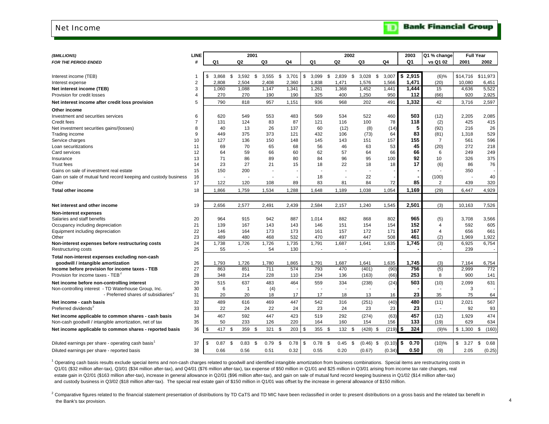#### <span id="page-5-0"></span>Net Income

|  | <b>Bank Financial Group</b> |  |
|--|-----------------------------|--|
|--|-----------------------------|--|

D

| (\$MILLIONS)                                                    | <b>LINE</b>    |             |      |                | 2001 |       |      |       |    |                          |      | 2002   |      |             |    |        | 2003        | Q1 % change              |            | <b>Full Year</b> |
|-----------------------------------------------------------------|----------------|-------------|------|----------------|------|-------|------|-------|----|--------------------------|------|--------|------|-------------|----|--------|-------------|--------------------------|------------|------------------|
| <b>FOR THE PERIOD ENDED</b>                                     | #              | Q1          |      | Q2             |      | Q3    |      | Q4    | Q1 |                          |      | Q2     | Q3   |             | Q4 |        | Q1          | vs Q1 02                 | 2001       | 2002             |
|                                                                 |                |             |      |                |      |       |      |       |    |                          |      |        |      |             |    |        |             |                          |            |                  |
| Interest income (TEB)                                           | -1             | \$<br>3,868 |      | \$<br>3,592    | - \$ | 3,555 | -\$  | 3,701 | \$ | 3,099                    | \$   | 2,839  | - \$ | 3,028       | \$ | 3,007  | \$<br>2,915 | $(6)$ %                  | \$14,716   | \$11,973         |
| Interest expense                                                | $\overline{2}$ | 2,808       |      | 2,504          |      | 2,408 |      | 2,360 |    | 1,838                    |      | 1,471  |      | 1,576       |    | 1,566  | 1,471       | (20)                     | 10,080     | 6,451            |
| Net interest income (TEB)                                       | 3              | 1,060       |      | 1,088          |      | 1,147 |      | 1,341 |    | 1,261                    |      | 1,368  |      | 1,452       |    | 1,441  | 1,444       | 15                       | 4,636      | 5,522            |
| Provision for credit losses                                     | 4              |             | 270  | 270            |      | 190   |      | 190   |    | 325                      |      | 400    |      | 1,250       |    | 950    | 112         | (66)                     | 920        | 2,925            |
| Net interest income after credit loss provision                 | 5              |             | 790  | 818            |      | 957   |      | 1,151 |    | 936                      |      | 968    |      | 202         |    | 491    | 1,332       | 42                       | 3,716      | 2,597            |
| Other income                                                    |                |             |      |                |      |       |      |       |    |                          |      |        |      |             |    |        |             |                          |            |                  |
| Investment and securities services                              | 6              |             | 620  | 549            |      | 553   |      | 483   |    | 569                      |      | 534    |      | 522         |    | 460    | 503         | (12)                     | 2,205      | 2,085            |
| Credit fees                                                     | $\overline{7}$ |             | 131  | 124            |      | 83    |      | 87    |    | 121                      |      | 116    |      | 100         |    | 78     | 118         | (2)                      | 425        | 415              |
| Net investment securities gains/(losses)                        | 8              |             | 40   | 13             |      | 26    |      | 137   |    | 60                       |      | (12)   |      | (8)         |    | (14)   | 5           | (92)                     | 216        | 26               |
| Trading income                                                  | 9              |             | 449  | 375            |      | 373   |      | 121   |    | 432                      |      | 106    |      | (73)        |    | 64     | 83          | (81)                     | 1,318      | 529              |
| Service charges                                                 | 10             |             | 127  | 136            |      | 150   |      | 148   |    | 145                      |      | 143    |      | 151         |    | 157    | 155         | $\overline{7}$           | 561        | 596              |
| Loan securitizations                                            | 11             |             | 69   | 70             |      | 65    |      | 68    |    | 56                       |      | 46     |      | 63          |    | 53     | 45          | (20)                     | 272        | 218              |
| Card services                                                   | 12             |             | 64   | 59             |      | 66    |      | 60    |    | 62                       |      | 57     |      | 64          |    | 66     | 66          | 6                        | 249        | 249              |
| Insurance                                                       | 13             |             | 71   | 86             |      | 89    |      | 80    |    | 84                       |      | 96     |      | 95          |    | 100    | 92          | 10                       | 326        | 375              |
| <b>Trust fees</b>                                               | 14             |             | 23   | 27             |      | 21    |      | 15    |    | 18                       |      | 22     |      | 18          |    | 18     | 17          | (6)                      | 86         | 76               |
| Gains on sale of investment real estate                         | 15             |             | 150  | 200            |      |       |      |       |    |                          |      |        |      |             |    |        |             |                          | 350        |                  |
| Gain on sale of mutual fund record keeping and custody business | 16             |             |      |                |      |       |      |       |    | 18                       |      |        |      | 22          |    |        |             | (100)                    |            | 40               |
| Other                                                           | 17             |             | 122  | 120            |      | 108   |      | 89    |    | 83                       |      | 81     |      | 84          |    | 72     | 85          | 2                        | 439        | 320              |
| <b>Total other income</b>                                       | 18             | 1,866       |      | 1,759          |      | 1,534 |      | 1,288 |    | 1,648                    |      | 1,189  |      | 1,038       |    | 1,054  | 1.169       | (29)                     | 6,447      | 4,929            |
|                                                                 |                |             |      |                |      |       |      |       |    |                          |      |        |      |             |    |        |             |                          |            |                  |
| Net interest and other income                                   | 19             | 2,656       |      | 2,577          |      | 2,491 |      | 2,439 |    | 2,584                    |      | 2,157  |      | 1,240       |    | 1,545  | 2,501       | (3)                      | 10,163     | 7,526            |
| <b>Non-interest expenses</b>                                    |                |             |      |                |      |       |      |       |    |                          |      |        |      |             |    |        |             |                          |            |                  |
| Salaries and staff benefits                                     | 20             |             | 964  | 915            |      | 942   |      | 887   |    | 1.014                    |      | 882    |      | 868         |    | 802    | 965         | (5)                      | 3,708      | 3,566            |
| Occupancy including depreciation                                | 21             |             | 139  | 167            |      | 143   |      | 143   |    | 146                      |      | 151    |      | 154         |    | 154    | 152         | 4                        | 592        | 605              |
| Equipment including depreciation                                | 22             |             | 146  | 164            |      | 173   |      | 173   |    | 161                      |      | 157    |      | 172         |    | 171    | 167         | 4                        | 656        | 661              |
| Other                                                           | 23             |             | 489  | 480            |      | 468   |      | 532   |    | 470                      |      | 497    |      | 447         |    | 508    | 461         | (2)                      | 1,969      | 1,922            |
| Non-interest expenses before restructuring costs                | 24             | 1,738       |      | 1,726          |      | 1,726 |      | 1,735 |    | 1,791                    |      | 1,687  |      | 1,641       |    | 1,635  | 1,745       | (3)                      | 6,925      | 6,754            |
| Restructuring costs                                             | 25             |             | 55   | $\overline{a}$ |      | 54    |      | 130   |    | $\overline{\phantom{a}}$ |      | $\sim$ |      | $\sim$      |    |        |             | $\overline{\phantom{a}}$ | 239        |                  |
| Total non-interest expenses excluding non-cash                  |                |             |      |                |      |       |      |       |    |                          |      |        |      |             |    |        |             |                          |            |                  |
| goodwill / intangible amortization                              | 26             | 1,793       |      | 1,726          |      | 1,780 |      | 1,865 |    | 1,791                    |      | 1,687  |      | 1,641       |    | 1,635  | 1,745       | (3)                      | 7,164      | 6,754            |
| Income before provision for income taxes - TEB                  | 27             |             | 863  | 851            |      | 711   |      | 574   |    | 793                      |      | 470    |      | (401)       |    | (90)   | 756         | (5)                      | 2,999      | 772              |
| Provision for income taxes - TEB <sup>2</sup>                   | 28             |             | 348  | 214            |      | 228   |      | 110   |    | 234                      |      | 136    |      | (163)       |    | (66)   | 253         | 8                        | 900        | 141              |
| Net income before non-controlling interest                      | 29             |             | 515  | 637            |      | 483   |      | 464   |    | 559                      |      | 334    |      | (238)       |    | (24)   | 503         | (10)                     | 2,099      | 631              |
| Non-controlling interest - TD Waterhouse Group, Inc.            | 30             |             | 6    | $\mathbf 1$    |      | (4)   |      |       |    |                          |      |        |      |             |    |        |             |                          | 3          |                  |
| - Preferred shares of subsidiaries <sup>2</sup>                 | 31             |             | 20   | 20             |      | 18    |      | 17    |    | 17                       |      | 18     |      | 13          |    | 16     | 23          | 35                       | 75         | 64               |
| Net income - cash basis                                         | 32             |             | 489  | 616            |      | 469   |      | 447   |    | 542                      |      | 316    |      | (251)       |    | (40)   | 480         | (11)                     | 2,021      | 567              |
| Preferred dividends <sup>2</sup>                                | 33             |             | 22   | 24             |      | 22    |      | 24    |    | 23                       |      | 24     |      | 23          |    | 23     | 23          | $\overline{\phantom{a}}$ | 92         | 93               |
| Net income applicable to common shares - cash basis             | 34             |             | 467  | 592            |      | 447   |      | 423   |    | 519                      |      | 292    |      | (274)       |    | (63)   | 457         | (12)                     | 1,929      | 474              |
| Non-cash goodwill / intangible amortization, net of tax         | 35             |             | 50   | 233            |      | 126   |      | 220   |    | 164                      |      | 160    |      | 154         |    | 156    | 133         | (19)                     | 629        | 634              |
| Net income applicable to common shares - reported basis         | 36             | \$          | 417  | \$<br>359      | \$   | 321   | -\$  | 203   | \$ | 355                      | \$   | 132    | - \$ | $(428)$ \$  |    | (219)  | 324<br>\$   | (9)%                     | \$1,300    | \$<br>(160)      |
|                                                                 |                |             |      |                |      |       |      |       |    |                          |      |        |      |             |    |        |             |                          |            |                  |
| Diluted earnings per share - operating cash basis               | 37             | \$          | 0.87 | - \$<br>0.83   | - \$ | 0.79  | - \$ | 0.78  | \$ | 0.78                     | - \$ | 0.45   | - \$ | $(0.46)$ \$ |    | (0.10) | \$<br>0.70  | (10)%                    | \$<br>3.27 | \$<br>0.68       |
| Diluted earnings per share - reported basis                     | 38             |             | 0.66 | 0.56           |      | 0.51  |      | 0.32  |    | 0.55                     |      | 0.20   |      | (0.67)      |    | (0.34) | 0.50        | (9)                      | 2.05       | (0.25)           |
|                                                                 |                |             |      |                |      |       |      |       |    |                          |      |        |      |             |    |        |             |                          |            |                  |

<sup>1</sup> Operating cash basis results exclude special items and non-cash charges related to goodwill and identified intangible amortization from business combinations. Special items are restructuring costs in Q1/01 (\$32 million after-tax), Q3/01 (\$34 million after-tax), and Q4/01 (\$76 million after-tax), tax expense of \$50 million in Q1/01 and \$25 million in Q3/01 arising from income tax rate changes, real estate gain in Q2/01 (\$163 million after-tax), increase in general allowance in Q2/01 (\$96 million after-tax), and gain on sale of mutual fund record keeping business in Q1/02 (\$14 million after-tax) and custody business in Q3/02 (\$18 million after-tax). The special real estate gain of \$150 million in Q1/01 was offset by the increase in general allowance of \$150 million.

<sup>2</sup> Comparative figures related to the financial statement presentation of distributions by TD CaTS and TD MIC have been reclassified in order to present distributions on a gross basis and the related tax benefit in the Bank's tax provision.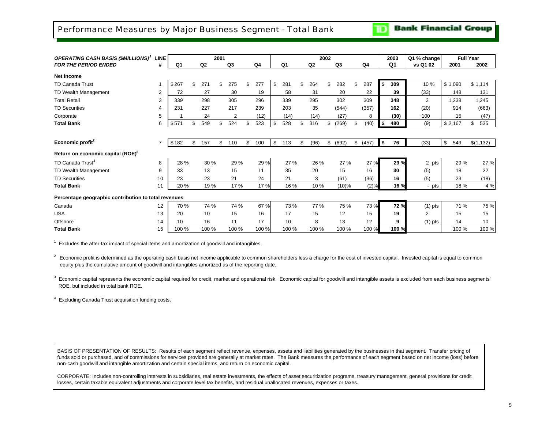**Bank Financial Group** TD

<span id="page-6-0"></span>

| <b>OPERATING CASH BASIS (\$MILLIONS)</b> <sup>1</sup> | <b>LINE</b>    |       |    |                | 2001 |       |           |           |            | 2002 |          |             |      | 2003           | Q1 % change |           | <b>Full Year</b> |            |
|-------------------------------------------------------|----------------|-------|----|----------------|------|-------|-----------|-----------|------------|------|----------|-------------|------|----------------|-------------|-----------|------------------|------------|
| <b>FOR THE PERIOD ENDED</b>                           | #              | Q1    |    | Q <sub>2</sub> |      | Q3    | Q4        | Q1        | Q2         |      | Q3       | Q4          |      | Q <sub>1</sub> | vs Q1 02    | 2001      |                  | 2002       |
| Net income                                            |                |       |    |                |      |       |           |           |            |      |          |             |      |                |             |           |                  |            |
| <b>TD Canada Trust</b>                                |                | \$267 | ደ  | 271            | \$   | 275   | \$<br>277 | \$<br>281 | \$<br>264  | \$   | 282      | \$<br>287   | \$   | 309            | 10 %        | \$1,090   |                  | \$1,114    |
| TD Wealth Management                                  | $\overline{2}$ | 72    |    | 27             |      | 30    | 19        | 58        | 31         |      | 20       | 22          |      | 39             | (33)        | 148       |                  | 131        |
| <b>Total Retail</b>                                   | 3              | 339   |    | 298            |      | 305   | 296       | 339       | 295        |      | 302      | 309         |      | 348            | 3           | 1,238     |                  | 1,245      |
| <b>TD Securities</b>                                  | 4              | 231   |    | 227            |      | 217   | 239       | 203       | 35         |      | (544)    | (357)       |      | 162            | (20)        | 914       |                  | (663)      |
| Corporate                                             | 5              |       |    | 24             |      | 2     | (12)      | (14)      | (14)       |      | (27)     | 8           |      | (30)           | $+100$      |           | 15               | (47)       |
| <b>Total Bank</b>                                     | 6              | \$571 | \$ | 549            | \$   | 524   | 523       | \$<br>528 | \$<br>316  | \$   | (269)    | \$<br>(40)  | l \$ | 480            | (9)         | \$2,167   |                  | 535<br>\$  |
|                                                       |                |       |    |                |      |       |           |           |            |      |          |             |      |                |             |           |                  |            |
| Economic profit <sup>2</sup>                          | $\overline{7}$ | \$182 | \$ | 157            | \$   | 110   | \$<br>100 | \$<br>113 | \$<br>(96) | \$   | (692)    | \$<br>(457) | l \$ | 76             | (33)        | \$<br>549 |                  | \$(1, 132) |
| Return on economic capital (ROE) <sup>3</sup>         |                |       |    |                |      |       |           |           |            |      |          |             |      |                |             |           |                  |            |
| TD Canada Trust <sup>4</sup>                          | 8              | 28 %  |    | 30 %           |      | 29 %  | 29 %      | 27 %      | 26 %       |      | 27 %     | 27 %        |      | 29 %           | 2 pts       |           | 29 %             | 27 %       |
| TD Wealth Management                                  | 9              | 33    |    | 13             |      | 15    | 11        | 35        | 20         |      | 15       | 16          |      | 30             | (5)         |           | 18               | 22         |
| <b>TD Securities</b>                                  | 10             | 23    |    | 23             |      | 21    | 24        | 21        | 3          |      | (61)     | (36)        |      | 16             | (5)         |           | 23               | (18)       |
| <b>Total Bank</b>                                     | 11             | 20 %  |    | 19 %           |      | 17 %  | 17 %      | 16 %      | 10 %       |      | $(10)\%$ | (2)%        |      | 16 %           | - pts       |           | 18 %             | 4 %        |
| Percentage geographic contribution to total revenues  |                |       |    |                |      |       |           |           |            |      |          |             |      |                |             |           |                  |            |
| Canada                                                | 12             | 70 %  |    | 74 %           |      | 74 %  | 67 %      | 73 %      | 77 %       |      | 75 %     | 73 %        |      | 72 %           | $(1)$ pts   |           | 71 %             | 75 %       |
| <b>USA</b>                                            | 13             | 20    |    | 10             |      | 15    | 16        | 17        | 15         |      | 12       | 15          |      | 19             | 2           |           | 15               | 15         |
| Offshore                                              | 14             | 10    |    | 16             |      | 11    | 17        | 10        | 8          |      | 13       | 12          |      | 9              | $(1)$ pts   |           | 14               | 10         |
| <b>Total Bank</b>                                     | 15             | 100 % |    | 100 %          |      | 100 % | 100 %     | 100 %     | 100 %      |      | 100 %    | 100 %       |      | 100 %          |             |           | 100 %            | 100 %      |

 $1$  Excludes the after-tax impact of special items and amortization of goodwill and intangibles.

 $2 \text{ }$  Economic profit is determined as the operating cash basis net income applicable to common shareholders less a charge for the cost of invested capital. Invested capital is equal to common equity plus the cumulative amount of goodwill and intangibles amortized as of the reporting date.

 $3$  Economic capital represents the economic capital required for credit, market and operational risk. Economic capital for goodwill and intangible assets is excluded from each business segments' ROE, but included in total bank ROE.

4 Excluding Canada Trust acquisition funding costs.

BASIS OF PRESENTATION OF RESULTS: Results of each segment reflect revenue, expenses, assets and liabilities generated by the businesses in that segment. Transfer pricing of funds sold or purchased, and of commissions for services provided are generally at market rates. The Bank measures the performance of each segment based on net income (loss) before non-cash goodwill and intangible amortization and certain special items, and return on economic capital.

CORPORATE: Includes non-controlling interests in subsidiaries, real estate investments, the effects of asset securitization programs, treasury management, general provisions for credit losses, certain taxable equivalent adjustments and corporate level tax benefits, and residual unallocated revenues, expenses or taxes.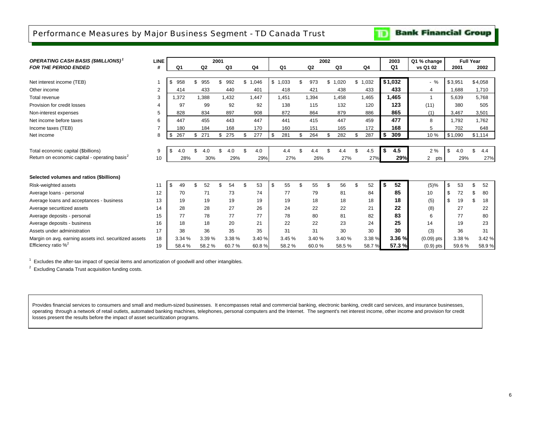### <span id="page-7-0"></span>Performance Measures by Major Business Segment - TD Canada Trust

**Bank Financial Group** TD.

| <b>OPERATING CASH BASIS (\$MILLIONS)</b> <sup>1</sup>     | LINE           |                |           | 2001           |           |        |           |           | 2002 |                |                | 2003           | Q1 % change           |           | <b>Full Year</b> |        |
|-----------------------------------------------------------|----------------|----------------|-----------|----------------|-----------|--------|-----------|-----------|------|----------------|----------------|----------------|-----------------------|-----------|------------------|--------|
| <b>FOR THE PERIOD ENDED</b>                               | #              | Q <sub>1</sub> | Q2        | Q <sub>3</sub> | Q4        |        | Q1        | Q2        |      | Q <sub>3</sub> | Q <sub>4</sub> | Q <sub>1</sub> | vs Q1 02              | 2001      |                  | 2002   |
|                                                           |                |                |           |                |           |        |           |           |      |                |                |                |                       |           |                  |        |
| Net interest income (TEB)                                 |                | \$<br>958      | \$<br>955 | 992<br>\$      | \$1,046   |        | \$1,033   | \$<br>973 |      | \$1,020        | \$1,032        | \$1,032        | $-$ %                 | \$3,951   | \$4,058          |        |
| Other income                                              | $\overline{2}$ | 414            | 433       | 440            | 401       |        | 418       | 421       |      | 438            | 433            | 433            | 4                     | 1,688     |                  | 1,710  |
| Total revenue                                             | 3              | 1.372          | 1,388     | 1,432          | 1.447     |        | 1.451     | 1.394     |      | 1,458          | 1,465          | 1,465          | $\overline{1}$        | 5,639     |                  | 5,768  |
| Provision for credit losses                               | 4              | 97             | 99        | 92             |           | 92     | 138       | 115       |      | 132            | 120            | 123            | (11)                  | 380       |                  | 505    |
| Non-interest expenses                                     | 5              | 828            | 834       | 897            | 908       |        | 872       | 864       |      | 879            | 886            | 865            | (1)                   | 3,467     |                  | 3,501  |
| Net income before taxes                                   | 6              | 447            | 455       | 443            | 447       |        | 441       | 415       |      | 447            | 459            | 477            | 8                     | 1,792     |                  | 1,762  |
| Income taxes (TEB)                                        |                | 180            | 184       | 168            | 170       |        | 160       | 151       |      | 165            | 172            | 168            | 5                     | 702       |                  | 648    |
| Net income                                                | 8              | 267<br>\$      | 271<br>\$ | 275<br>\$      | 277<br>\$ |        | \$<br>281 | \$<br>264 | \$   | 282            | \$<br>287      | \$<br>309      | 10%                   | \$1,090   | \$1,114          |        |
|                                                           |                |                |           |                |           |        |           |           |      |                |                |                |                       |           |                  |        |
| Total economic capital (\$billions)                       | 9              | \$<br>4.0      | 4.0       | 4.0            | £.        | 4.0    | 4.4       | \$<br>4.4 | \$   | 4.4            | \$<br>4.5      | \$<br>4.5      | 2%                    | \$<br>4.0 | $\mathfrak{L}$   | 4.4    |
| Return on economic capital - operating basis <sup>2</sup> | 10             | 28%            | 30%       | 29%            |           | 29%    | 27%       | 26%       |      | 27%            | 27%            | 29%            | $\overline{2}$<br>pts | 29%       |                  | 27%    |
|                                                           |                |                |           |                |           |        |           |           |      |                |                |                |                       |           |                  |        |
| Selected volumes and ratios (\$billions)                  |                |                |           |                |           |        |           |           |      |                |                |                |                       |           |                  |        |
| Risk-weighted assets                                      | 11             | \$<br>49       | 52        | 54             | \$        | 53     | 55<br>\$  | \$<br>55  | \$   | 56             | \$<br>52       | \$<br>52       | (5)%                  | \$<br>53  | \$               | 52     |
| Average loans - personal                                  | 12             | 70             | 71        | 73             |           | 74     | 77        | 79        |      | 81             | 84             | 85             | 10                    | \$<br>72  | \$.              | 80     |
| Average loans and acceptances - business                  | 13             | 19             | 19        | 19             |           | 19     | 19        | 18        |      | 18             | 18             | 18             | (5)                   | \$<br>19  | \$               | 18     |
| Average securitized assets                                | 14             | 28             | 28        | 27             |           | 26     | 24        | 22        |      | 22             | 21             | 22             | (8)                   | 27        |                  | 22     |
| Average deposits - personal                               | 15             | 77             | 78        | 77             |           | 77     | 78        | 80        |      | 81             | 82             | 83             | 6                     | 77        |                  | 80     |
| Average deposits - business                               | 16             | 18             | 18        | 20             |           | 21     | 22        | 22        |      | 23             | 24             | 25             | 14                    | 19        |                  | 23     |
| Assets under administration                               | 17             | 38             | 36        | 35             |           | 35     | 31        | 31        |      | 30             | 30             | 30             | (3)                   | 36        |                  | 31     |
| Margin on avg. earning assets incl. securitized assets    | 18             | 3.34%          | 3.39 %    | 3.38 %         |           | 3.40 % | 3.45%     | 3.40 %    |      | 3.40 %         | 3.38%          | 3.36%          | $(0.09)$ pts          | 3.38 %    |                  | 3.42 % |
| Efficiency ratio $\%^2$                                   | 19             | 58.4%          | 58.2%     | 60.7%          |           | 60.8%  | 58.2%     | 60.0%     |      | 58.5%          | 58.7%          | 57.3%          | $(0.9)$ pts           | 59.6%     |                  | 58.9%  |

<sup>1</sup> Excludes the after-tax impact of special items and amortization of goodwill and other intangibles.

2 Excluding Canada Trust acquisition funding costs.

Provides financial services to consumers and small and medium-sized businesses. It encompasses retail and commercial banking, electronic banking, credit card services, and insurance businesses, operating through a network of retail outlets, automated banking machines, telephones, personal computers and the Internet. The segment's net interest income, other income and provision for credit losses present the results before the impact of asset securitization programs.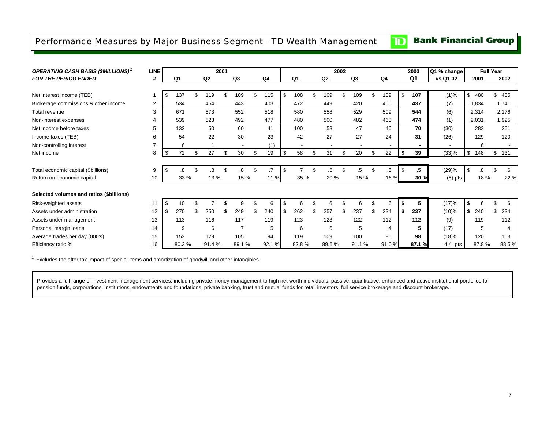### <span id="page-8-0"></span>Performance Measures by Major Business Segment - TD Wealth Management

#### **Bank Financial Group**  $\mathbf{D}$

| <b>OPERATING CASH BASIS (\$MILLIONS)</b> <sup>1</sup> | <b>LINE</b> |     |       |    |                | 2001 |                          |          |     |                          |                | 2002 |                          |                          |        | 2003           | Q1 % change    |           | <b>Full Year</b>         |
|-------------------------------------------------------|-------------|-----|-------|----|----------------|------|--------------------------|----------|-----|--------------------------|----------------|------|--------------------------|--------------------------|--------|----------------|----------------|-----------|--------------------------|
| <b>FOR THE PERIOD ENDED</b>                           | #           |     | Q1    |    | Q <sub>2</sub> |      | Q <sub>3</sub>           | Q4       |     | Q1                       | Q <sub>2</sub> |      | Q3                       | Q4                       |        | Q <sub>1</sub> | vs Q1 02       | 2001      | 2002                     |
|                                                       |             |     |       |    |                |      |                          |          |     |                          |                |      |                          |                          |        |                |                |           |                          |
| Net interest income (TEB)                             |             | \$  | 137   |    | 119            |      | 109                      | 115      | \$  | 108                      | \$<br>109      | \$   | 109                      | \$<br>109                | \$     | 107            | (1)%           | \$480     | \$<br>435                |
| Brokerage commissions & other income                  | 2           |     | 534   |    | 454            |      | 443                      | 403      |     | 472                      | 449            |      | 420                      | 400                      |        | 437            | (7)            | 1,834     | 1,741                    |
| Total revenue                                         | 3           |     | 671   |    | 573            |      | 552                      | 518      |     | 580                      | 558            |      | 529                      | 509                      |        | 544            | (6)            | 2,314     | 2,176                    |
| Non-interest expenses                                 | 4           |     | 539   |    | 523            |      | 492                      | 477      |     | 480                      | 500            |      | 482                      | 463                      |        | 474            | (1)            | 2,031     | 1,925                    |
| Net income before taxes                               | 5           |     | 132   |    | 50             |      | 60                       | 41       |     | 100                      | 58             |      | 47                       | 46                       |        | 70             | (30)           | 283       | 251                      |
| Income taxes (TEB)                                    | 6           |     | 54    |    | 22             |      | 30                       | 23       |     | 42                       | 27             |      | 27                       | 24                       |        | 31             | (26)           | 129       | 120                      |
| Non-controlling interest                              |             |     | 6     |    |                |      | $\overline{\phantom{a}}$ | (1)      |     | $\overline{\phantom{a}}$ | ٠              |      | $\overline{\phantom{a}}$ | $\overline{\phantom{a}}$ |        | $\blacksquare$ | $\blacksquare$ | 6         | $\overline{\phantom{a}}$ |
| Net income                                            | 8           | \$  | 72    | \$ | 27             | \$   | 30                       | \$<br>19 | \$  | 58                       | \$<br>31       | \$   | 20                       | \$<br>22                 | $\sim$ | 39             | (33)%          | \$<br>148 | \$<br>131                |
|                                                       |             |     |       |    |                |      |                          |          |     |                          |                |      |                          |                          |        |                |                |           |                          |
| Total economic capital (\$billions)                   | 9           | \$  | .8    | \$ | 8.             |      | 8.                       | \$       | \$  |                          | \$<br>.6       | \$   | .5                       | \$<br>.5                 | \$     | .5             | (29)%          | \$<br>8.  | \$<br>.6                 |
| Return on economic capital                            | 10          |     | 33 %  |    | 13 %           |      | 15 %                     | 11 %     |     | 35 %                     | 20 %           |      | 15 %                     | 16 %                     |        | 30 %           | $(5)$ pts      | 18 %      | 22 %                     |
|                                                       |             |     |       |    |                |      |                          |          |     |                          |                |      |                          |                          |        |                |                |           |                          |
| Selected volumes and ratios (\$billions)              |             |     |       |    |                |      |                          |          |     |                          |                |      |                          |                          |        |                |                |           |                          |
| Risk-weighted assets                                  | 11          | -\$ | 10    |    |                |      | 9                        | 6        | \$  | 6                        | 6              |      | 6                        | \$<br>6                  |        | 5              | (17)%          | \$<br>6   | \$<br>6                  |
| Assets under administration                           | 12          | \$  | 270   | £. | 250            |      | 249                      | 240      | -\$ | 262                      | \$<br>257      | S    | 237                      | \$<br>234                | S.     | 237            | $(10)\%$       | \$<br>240 | \$<br>234                |
| Assets under management                               | 13          |     | 113   |    | 116            |      | 117                      | 119      |     | 123                      | 123            |      | 122                      | 112                      |        | 112            | (9)            | 119       | 112                      |
| Personal margin loans                                 | 14          |     | 9     |    | 6              |      |                          | 5        |     | 6                        | 6              |      | 5                        | 4                        |        | 5              | (17)           | 5         | $\overline{4}$           |
| Average trades per day (000's)                        | 15          |     | 153   |    | 129            |      | 105                      | 94       |     | 119                      | 109            |      | 100                      | 86                       |        | 98             | (18)%          | 120       | 103                      |
| Efficiency ratio %                                    | 16          |     | 80.3% |    | 91.4%          |      | 89.1%                    | 92.1 %   |     | 82.8%                    | 89.6%          |      | 91.1%                    | 91.0%                    |        | 87.1 %         | 4.4 pts        | 87.8%     | 88.5%                    |

 $1$  Excludes the after-tax impact of special items and amortization of goodwill and other intangibles.

Provides a full range of investment management services, including private money management to high net worth individuals, passive, quantitative, enhanced and active institutional portfolios for pension funds, corporations, institutions, endowments and foundations, private banking, trust and mutual funds for retail investors, full service brokerage and discount brokerage.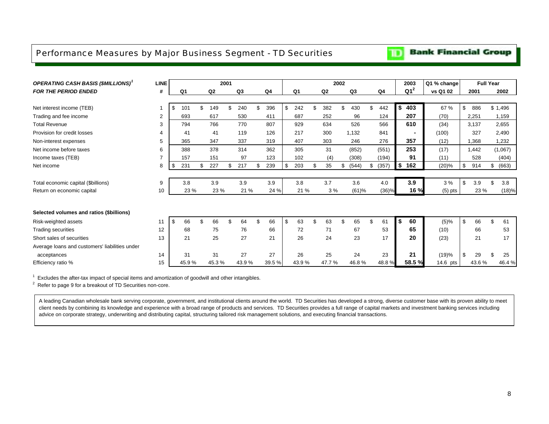### <span id="page-9-0"></span>Performance Measures by Major Business Segment - TD Securities

### *OPERATING CASH BASIS (\$MILLIONS)<sup>1</sup>* **LINE <sup>2001</sup> <sup>2002</sup> <sup>2003</sup> Q1 % change Full Year** *FOR THE PERIOD ENDED* **# Q1 Q2 Q3 Q4 Q1 Q2 Q3 Q4 Q1<sup>2</sup> vs Q1 02 <sup>2001</sup> <sup>2002</sup>** Net interest income (TEB) 1 1 1 1 4 1 1 1 1 1 1 49 \$ 240 \$ 396 | \$ 242 \$ 382 \$ 430 \$ 442 **| \$ 403 |** 67 % | \$ 886 \$ 1,496 Trading and fee income <sup>2</sup> 693 617 530 <sup>411</sup> 687 252 96 <sup>124</sup> **207** 2,251 (70) 1,159 Total Revenue 3 794 766 770 807 929 634 526 566 **610** 3,137 (34) 2,655 Provision for credit losses **4** 41 41 41 119 126 217 300 1,132 841 **-** (100) 327 2,490 Non-interest expenses 5 365 347 337 319 407 303 246 276 **357** 1,368 (12) 1,232 Net income before taxes 6 388 378 314 362 305 31 (852) (551) **253** 1,442 (17) (1,067) Income taxes (TEB) <sup>7</sup> 157 151 97 123 102 (4) (308) (194) **91** 528 (11) (404) Net income <sup>8</sup> <sup>231</sup> \$ 227 \$ 217 \$ 239 \$ 203 \$ 35 \$ (544) \$ (357) \$ **\$ 162** (20)% 914 \$ (663) \$ Total economic capital (\$billions) 9 3.8 3.9 3.9 3.9 3.8 3.7 3.6 4.0 **3.9** 3 % 3.9 \$ 3.8 \$ Return on economic capital 10 23 % 23 % 21 % 24 % 21 % 3 % (61)% (36)% **16 %** 23 % (18)% (5) pts **Selected volumes and ratios (\$billions)** Risk-weighted assets <sup>11</sup> <sup>66</sup> \$ 66 \$ 64 \$ 66 \$ 63 \$ 63 \$ 65 \$ 61 \$ **\$ 60** (5)% 66 \$ 61 \$ Trading securities <sup>12</sup> 68 <sup>75</sup> 76 66 <sup>72</sup> <sup>71</sup> 67 53 **65** 66 (10) 53 Short sales of securities 13 21 25 27 21 26 24 23 17 **20** 21 (23) 17 Average loans and customers' liabilities under acceptances 14 31 31 27 27 26 25 24 23 **21** (19)% 29 \$ 25 \$ Efficiency ratio % 15 | 45.9 % 45.3 % 43.9 % 39.5 %| 47.3 % 47.7 % 46.8 % 48.8 % **58.5 % 1**4.6 pts | 43.6 % 46.4 %

Excludes the after-tax impact of special items and amortization of goodwill and other intangibles.

 $2$  Refer to page 9 for a breakout of TD Securities non-core.

A leading Canadian wholesale bank serving corporate, government, and institutional clients around the world. TD Securities has developed a strong, diverse customer base with its proven ability to meet client needs by combining its knowledge and experience with a broad range of products and services. TD Securities provides a full range of capital markets and investment banking services including advice on corporate strategy, underwriting and distributing capital, structuring tailored risk management solutions, and executing financial transactions.

#### **Bank Financial Group**

TD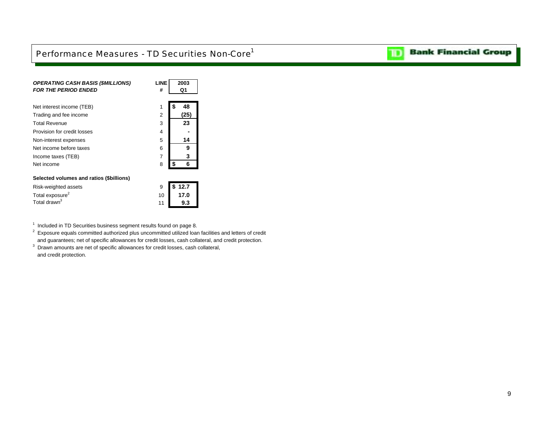## <span id="page-10-0"></span>Performance Measures - TD Securities Non-Core<sup>1</sup>

| <b>OPERATING CASH BASIS (\$MILLIONS)</b><br><b>FOR THE PERIOD ENDED</b> | <b>LINE</b><br># | 2003<br>Q1 |
|-------------------------------------------------------------------------|------------------|------------|
| Net interest income (TEB)                                               | 1                | 48         |
| Trading and fee income                                                  | 2                | (25)       |
| <b>Total Revenue</b>                                                    | 3                | 23         |
| Provision for credit losses                                             | 4                |            |
| Non-interest expenses                                                   | 5                | 14         |
| Net income before taxes                                                 | 6                | 9          |
| Income taxes (TEB)                                                      | 7                | 3          |
| Net income                                                              | 8                | 6          |
| Selected volumes and ratios (\$billions)                                |                  |            |
| Risk-weighted assets                                                    | 9                | 12.7<br>S  |
| Total exposure <sup>2</sup>                                             | 10               | 17.0       |
| Total drawn <sup>3</sup>                                                | 11               | 9.3        |

 $1$  Included in TD Securities business segment results found on page 8.

 $^2$  Exposure equals committed authorized plus uncommitted utilized loan facilities and letters of credit and guarantees; net of specific allowances for credit losses, cash collateral, and credit protection.

<sup>3</sup> Drawn amounts are net of specific allowances for credit losses, cash collateral, and credit protection.

**Bank Financial Group** 

וסד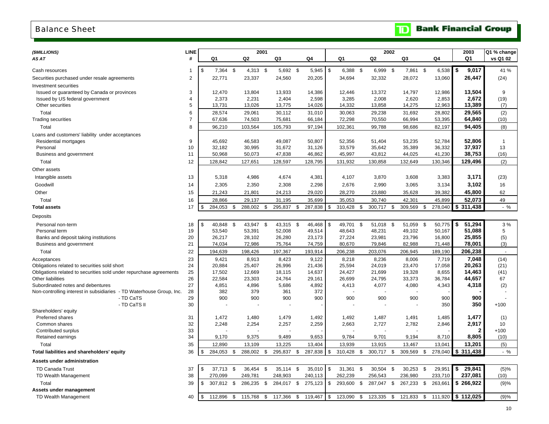### <span id="page-11-0"></span>Balance Sheet

# **Bank Financial Group**

| (\$MILLIONS)                                                         | LINE           |                |            |                           | 2001       |      |                |               |                | 2002             |     |            |      |         |    | 2003       | Q1 % change    |
|----------------------------------------------------------------------|----------------|----------------|------------|---------------------------|------------|------|----------------|---------------|----------------|------------------|-----|------------|------|---------|----|------------|----------------|
| AS AT                                                                | #              |                | Q1         |                           | Q2         |      | Q3             | Q4            | Q1             | Q2               |     | Q3         |      | Q4      |    | Q1         | vs Q1 02       |
|                                                                      |                |                |            |                           |            |      |                |               |                |                  |     |            |      |         |    |            |                |
| Cash resources                                                       | 1              | \$             | 7,364      | \$                        | 4,313 \$   |      | 5,692 \$       | 5,945         | \$<br>6,388 \$ | 6,999 \$         |     | 7,861 \$   |      | 6,538   | \$ | 9,017      | 41 %           |
| Securities purchased under resale agreements                         | $\overline{2}$ |                | 22,771     |                           | 23,337     |      | 24,560         | 20,205        | 34,694         | 32,332           |     | 28,072     |      | 13,060  |    | 26,447     | (24)           |
| <b>Investment securities</b>                                         |                |                |            |                           |            |      |                |               |                |                  |     |            |      |         |    |            |                |
| Issued or guaranteed by Canada or provinces                          | 3              |                | 12,470     |                           | 13,804     |      | 13,933         | 14,386        | 12,446         | 13,372           |     | 14,797     |      | 12,986  |    | 13,504     | 9              |
| Issued by US federal government                                      | 4              |                | 2,373      |                           | 2,231      |      | 2,404          | 2,598         | 3,285          | 2,008            |     | 2,620      |      | 2,853   |    | 2,672      | (19)           |
| Other securities                                                     | 5              |                | 13,731     |                           | 13,026     |      | 13,775         | 14,026        | 14,332         | 13,858           |     | 14,275     |      | 12,963  |    | 13,389     | (7)            |
| Total                                                                | 6              |                | 28,574     |                           | 29,061     |      | 30,112         | 31,010        | 30,063         | 29,238           |     | 31,692     |      | 28,802  |    | 29,565     | (2)            |
| <b>Trading securities</b>                                            | $\overline{7}$ |                | 67,636     |                           | 74,503     |      | 75,681         | 66,184        | 72,298         | 70,550           |     | 66,994     |      | 53,395  |    | 64,840     | (10)           |
| Total                                                                | 8              |                | 96,210     |                           | 103,564    |      | 105,793        | 97,194        | 102,361        | 99,788           |     | 98,686     |      | 82,197  |    | 94,405     | (8)            |
| Loans and customers' liability under acceptances                     |                |                |            |                           |            |      |                |               |                |                  |     |            |      |         |    |            |                |
| Residential mortgages                                                | 9              |                | 45,692     |                           | 46,583     |      | 49,087         | 50,807        | 52,356         | 51,404           |     | 53,235     |      | 52,784  |    | 52,806     | $\overline{1}$ |
| Personal                                                             | 10             |                | 32,182     |                           | 30,995     |      | 31,672         | 31,126        | 33,579         | 35,642           |     | 35,389     |      | 36,332  |    | 37,937     | 13             |
| Business and government                                              | 11             |                | 50,968     |                           | 50,073     |      | 47,838         | 46,862        | 45,997         | 43,812           |     | 44,025     |      | 41,230  |    | 38,753     | (16)           |
| Total                                                                | 12             |                | 128,842    |                           | 127,651    |      | 128,597        | 128,795       | 131,932        | 130,858          |     | 132,649    |      | 130,346 |    | 129,496    | (2)            |
| Other assets                                                         |                |                |            |                           |            |      |                |               |                |                  |     |            |      |         |    |            |                |
| Intangible assets                                                    | 13             |                | 5,318      |                           | 4,986      |      | 4,674          | 4,381         | 4,107          | 3,870            |     | 3,608      |      | 3,383   |    | 3,171      | (23)           |
| Goodwill                                                             | 14             |                | 2,305      |                           | 2,350      |      | 2,308          | 2,298         | 2,676          | 2,990            |     | 3,065      |      | 3,134   |    | 3,102      | 16             |
| Other                                                                | 15             |                | 21,243     |                           | 21,801     |      | 24,213         | 29,020        | 28,270         | 23,880           |     | 35,628     |      | 39,382  |    | 45,800     | 62             |
| Total                                                                | 16             |                | 28,866     |                           | 29,137     |      | 31,195         | 35,699        | 35,053         | 30,740           |     | 42,301     |      | 45,899  |    | 52,073     | 49             |
|                                                                      | 17             | \$             | 284,053    |                           | 288,002    | \$   |                | 287,838       | \$<br>310,428  | 300,717          |     | 309,569    | \$   | 278,040 |    | \$311,438  | $-$ %          |
| <b>Total assets</b>                                                  |                |                |            | $\boldsymbol{\mathsf{S}}$ |            |      | 295,837        | \$            |                | \$               | \$  |            |      |         |    |            |                |
| Deposits                                                             |                |                |            |                           |            |      |                |               |                |                  |     |            |      |         |    |            |                |
| Personal non-term                                                    | 18             | \$             | 40,848     | \$                        | 43,947     | - \$ | 43,315         | \$<br>46,468  | \$<br>49,701   | \$<br>51,018     | -\$ | 51,059     | \$   | 50,775  | \$ | 51,294     | 3%             |
| Personal term                                                        | 19             |                | 53,540     |                           | 53,391     |      | 52,008         | 49,514        | 48,643         | 48,231           |     | 49,102     |      | 50,167  |    | 51,088     | 5              |
| Banks and deposit taking institutions                                | 20             |                | 26,217     |                           | 28,102     |      | 26,280         | 23,173        | 27,224         | 23,981           |     | 23,796     |      | 16,800  |    | 25,855     | (5)            |
| Business and government                                              | 21             |                | 74,034     |                           | 72,986     |      | 75,764         | 74,759        | 80,670         | 79,846           |     | 82,988     |      | 71,448  |    | 78,001     | (3)            |
| Total                                                                | 22             |                | 194,639    |                           | 198,426    |      | 197,367        | 193,914       | 206,238        | 203,076          |     | 206,945    |      | 189,190 |    | 206,238    | $\sim$         |
| Acceptances                                                          | 23             |                | 9,421      |                           | 8,913      |      | 8,423          | 9,122         | 8,218          | 8,236            |     | 8,006      |      | 7,719   |    | 7,048      | (14)           |
| Obligations related to securities sold short                         | 24             |                | 20,884     |                           | 25,407     |      | 26,996         | 21,436        | 25,594         | 24,019           |     | 23,470     |      | 17,058  |    | 20,263     | (21)           |
| Obligations related to securities sold under repurchase agreements   | 25             |                | 17,502     |                           | 12,669     |      | 18,115         | 14,637        | 24,427         | 21,699           |     | 19,328     |      | 8,655   |    | 14,463     | (41)           |
| <b>Other liabilities</b>                                             | 26             |                | 22,584     |                           | 23,303     |      | 24,764         | 29,161        | 26,699         | 24,795           |     | 33,373     |      | 36,784  |    | 44,657     | 67             |
| Subordinated notes and debentures                                    | 27             |                | 4,851      |                           | 4,896      |      | 5,686          | 4,892         | 4,413          | 4,077            |     | 4,080      |      | 4,343   |    | 4,318      | (2)            |
| Non-controlling interest in subsidiaries - TD Waterhouse Group, Inc. | 28             |                | 382        |                           | 379        |      | 361            | 372           |                |                  |     |            |      |         |    |            |                |
| - TD CaTS                                                            | 29             |                | 900        |                           | 900        |      | 900            | 900           | 900            | 900              |     | 900        |      | 900     |    | 900        |                |
| - TD CaTS II                                                         | 30             |                |            |                           |            |      |                |               |                |                  |     |            |      | 350     |    | 350        | $+100$         |
| Shareholders' equity                                                 |                |                |            |                           |            |      |                |               |                |                  |     |            |      |         |    |            |                |
| Preferred shares<br>Common shares                                    | 31             |                | 1,472      |                           | 1,480      |      | 1,479<br>2,257 | 1,492         | 1,492          | 1,487            |     | 1,491      |      | 1,485   |    | 1,477      | (1)            |
| Contributed surplus                                                  | 32<br>33       |                | 2,248      |                           | 2,254      |      |                | 2,259         | 2,663          | 2,727            |     | 2,782      |      | 2,846   |    | 2,917<br>2 | 10<br>$+100$   |
| Retained earnings                                                    | 34             |                | 9,170      |                           | 9,375      |      | 9,489          | 9,653         | 9,784          | 9,701            |     | 9,194      |      | 8,710   |    | 8,805      | (10)           |
| Total                                                                |                |                |            |                           | 13,109     |      | 13,225         |               |                |                  |     |            |      | 13,041  |    | 13,201     |                |
|                                                                      | 35             |                | 12,890     |                           |            |      |                | 13,404        | 13,939         | 13,915           |     | 13,467     |      |         |    |            | (5)            |
| Total liabilities and shareholders' equity                           | 36             | \$             | 284,053    | \$                        | 288,002    | \$   | 295,837        | \$<br>287,838 | \$<br>310,428  | \$<br>300,717 \$ |     | 309,569    | \$   | 278,040 |    | \$311,438  | $-$ %          |
| <b>Assets under administration</b>                                   |                |                |            |                           |            |      |                |               |                |                  |     |            |      |         |    |            |                |
| <b>TD Canada Trust</b>                                               | 37             | $\mathfrak{S}$ | 37,713     | \$                        | 36.454     | \$   | 35,114 \$      | 35,010        | \$<br>31,361   | \$<br>30,504     | \$  | 30,253     | - \$ | 29,951  | \$ | 29,841     | (5)%           |
| TD Wealth Management                                                 | 38             |                | 270,099    |                           | 249,781    |      | 248,903        | 240,113       | 262,239        | 256,543          |     | 236,980    |      | 233,710 |    | 237,081    | (10)           |
| Total                                                                | 39             | \$             | 307,812 \$ |                           | 286,235 \$ |      | 284,017 \$     | 275,123       | \$<br>293,600  | \$<br>287,047 \$ |     | 267,233    | \$   | 263,661 |    | \$266,922  | (9)%           |
| Assets under management                                              |                |                |            |                           |            |      |                |               |                |                  |     |            |      |         |    |            |                |
| TD Wealth Management                                                 | 40             | \$             | 112,896    | \$                        | 115,768    | \$   | 117,366 \$     | 119,467       | \$<br>123,090  | \$<br>123,335    | \$  | 121,833 \$ |      | 111,920 |    | \$112,025  | (9)%           |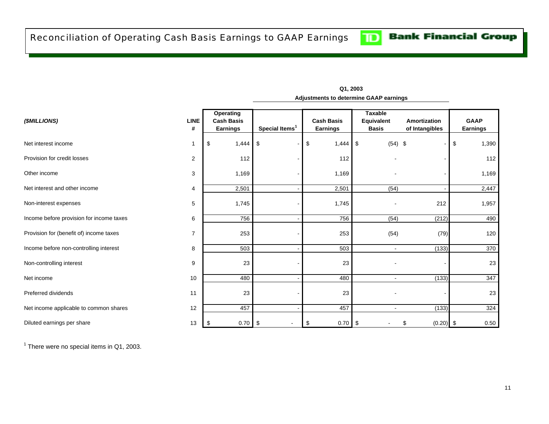<span id="page-12-0"></span>

| (\$MILLIONS)                             | <b>LINE</b><br># | Operating<br><b>Cash Basis</b><br><b>Earnings</b> | Special Items <sup>1</sup> | <b>Cash Basis</b><br><b>Earnings</b> | <b>Taxable</b><br>Equivalent<br><b>Basis</b> | Amortization<br>of Intangibles | <b>GAAP</b><br><b>Earnings</b> |
|------------------------------------------|------------------|---------------------------------------------------|----------------------------|--------------------------------------|----------------------------------------------|--------------------------------|--------------------------------|
| Net interest income                      |                  | 1,444<br>\$                                       | \$                         | \$<br>1,444                          | $(54)$ \$<br>$\sqrt{3}$                      |                                | \$<br>1,390                    |
| Provision for credit losses              | $\overline{2}$   | 112                                               |                            | 112                                  |                                              |                                | 112                            |
| Other income                             | 3                | 1,169                                             |                            | 1,169                                |                                              |                                | 1,169                          |
| Net interest and other income            | 4                | 2,501                                             |                            | 2,501                                | (54)                                         |                                | 2,447                          |
| Non-interest expenses                    | 5                | 1,745                                             |                            | 1,745                                | ٠                                            | 212                            | 1,957                          |
| Income before provision for income taxes | 6                | 756                                               |                            | 756                                  | (54)                                         | (212)                          | 490                            |
| Provision for (benefit of) income taxes  | $\overline{7}$   | 253                                               |                            | 253                                  | (54)                                         | (79)                           | 120                            |
| Income before non-controlling interest   | 8                | 503                                               |                            | 503                                  | ä,                                           | (133)                          | 370                            |
| Non-controlling interest                 | 9                | 23                                                |                            | 23                                   |                                              |                                | 23                             |
| Net income                               | 10               | 480                                               |                            | 480                                  | $\sim$                                       | (133)                          | 347                            |
| Preferred dividends                      | 11               | 23                                                |                            | 23                                   |                                              |                                | 23                             |
| Net income applicable to common shares   | 12               | 457                                               |                            | 457                                  | $\overline{a}$                               | (133)                          | 324                            |
| Diluted earnings per share               | 13               | 0.70<br>-S                                        | -\$<br>$\blacksquare$      | 0.70<br>\$                           | <b>S</b>                                     | $(0.20)$ \$<br>S               | 0.50                           |

**Adjustments to determine GAAP earnings Q1, 2003**

 $<sup>1</sup>$  There were no special items in Q1, 2003.</sup>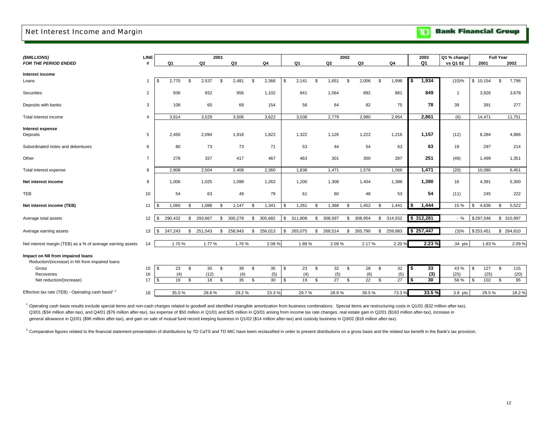#### <span id="page-13-0"></span>Net Interest Income and Margin

|  | <b>Bank Financial Group</b> |  |
|--|-----------------------------|--|
|--|-----------------------------|--|

| (\$MILLIONS)                                                                         | <b>LINE</b>    |                  |                | 2001 |         |               |      |         |                | 2002 |         |     |         |    | 2003           | Q1 % change    |             | <b>Full Year</b> |            |
|--------------------------------------------------------------------------------------|----------------|------------------|----------------|------|---------|---------------|------|---------|----------------|------|---------|-----|---------|----|----------------|----------------|-------------|------------------|------------|
| FOR THE PERIOD ENDED                                                                 | #              | Q1               | Q <sub>2</sub> |      | Q3      | Q4            |      | Q1      | Q <sub>2</sub> |      | Q3      |     | Q4      |    | Q <sub>1</sub> | vs Q1 02       | 2001        |                  | 2002       |
| Interest income                                                                      |                |                  |                |      |         |               |      |         |                |      |         |     |         |    |                |                |             |                  |            |
| Loans                                                                                | -1             | l \$<br>2,770    | 2,537<br>\$    | \$   | 2,481   | \$<br>2,366   | - 35 | 2,141   | \$<br>1,651    | \$   | 2,006   | \$  | 1,998   | 5  | 1,934          | $(10)\%$       | \$10,154    | \$               | 7,796      |
| Securities                                                                           | $\overline{2}$ | 936              | 932            |      | 956     | 1,102         |      | 841     | 1,064          |      | 892     |     | 881     |    | 849            | $\overline{1}$ | 3,926       |                  | 3,678      |
| Deposits with banks                                                                  | 3              | 108              | 60             |      | 69      | 154           |      | 56      | 64             |      | 82      |     | 75      |    | 78             | 39             | 391         |                  | 277        |
| Total interest income                                                                | $\overline{4}$ | 3,814            | 3,529          |      | 3,506   | 3,622         |      | 3,038   | 2,779          |      | 2,980   |     | 2,954   |    | 2,861          | (6)            | 14,471      |                  | 11,751     |
| Interest expense<br>Deposits                                                         | 5              | 2,450            | 2,094          |      | 1,918   | 1,822         |      | 1,322   | 1,126          |      | 1,222   |     | 1,216   |    | 1,157          | (12)           | 8,284       |                  | 4,886      |
| Subordinated notes and debentures                                                    | 6              | 80               | 73             |      | 73      | 71            |      | 53      | 44             |      | 54      |     | 63      |    | 63             | 19             | 297         |                  | 214        |
| Other                                                                                | $\overline{7}$ | 278              | 337            |      | 417     | 467           |      | 463     | 301            |      | 300     |     | 287     |    | 251            | (46)           | 1,499       |                  | 1,351      |
| Total interest expense                                                               | 8              | 2,808            | 2,504          |      | 2,408   | 2,360         |      | 1,838   | 1,471          |      | 1,576   |     | 1,566   |    | 1,471          | (20)           | 10,080      |                  | 6,451      |
| Net interest income                                                                  | 9              | 1,006            | 1,025          |      | 1,098   | 1,262         |      | 1,200   | 1,308          |      | 1,404   |     | 1,388   |    | 1,390          | 16             | 4,391       |                  | 5,300      |
| TEB                                                                                  | 10             | 54               | 63             |      | 49      | 79            |      | 61      | 60             |      | 48      |     | 53      |    | 54             | (11)           | 245         |                  | 222        |
| Net interest income (TEB)                                                            | 11             | 1,060<br>\$      | 1,088<br>-\$   | \$   | 1,147   | \$<br>1,341   |      | 1,261   | \$<br>1,368    | \$   | 1,452   | \$  | 1,441   | \$ | 1,444          | 15 %           | 4,636<br>\$ | \$.              | 5,522      |
| Average total assets                                                                 | 12             | 290,432<br>\$    | 293,667<br>\$  | \$   | 300,278 | \$<br>305,682 | \$   | 311,808 | \$<br>308,597  | \$   | 308,954 | \$  | 314,552 |    | \$312,281      | $-$ %          | \$297,546   |                  | \$ 310,997 |
| Average earning assets                                                               | 13             | 247,243<br>\$    | 251,543<br>\$  | \$   | 258,943 | \$<br>256,013 | \$   | 265,075 | \$<br>268,514  | \$   | 265,790 | \$. | 259,983 |    | \$257,447      | (3)%           | \$253,451   |                  | \$ 264,810 |
| Net interest margin (TEB) as a % of average earning assets                           | 14             | 1.70%            | 1.77%          |      | 1.76%   | 2.08%         |      | 1.89%   | 2.09%          |      | 2.17%   |     | 2.20%   |    | 2.23 %         | .34 pts        | 1.83%       |                  | 2.09%      |
| Impact on NII from impaired loans<br>Reduction/(increase) in NII from impaired loans |                |                  |                |      |         |               |      |         |                |      |         |     |         |    |                |                |             |                  |            |
| Gross                                                                                | 15             | $\sqrt{3}$<br>23 | 30<br>\$       | \$   | 39      | \$<br>35      | \$   | 23      | \$<br>32       | \$   | 28      | \$  | 32      | \$ | 33             | 43 %           | 127<br>- \$ | \$               | 115        |
| Recoveries                                                                           | 16             | (4)              | (12)           |      | (4)     | (5)           |      | (4)     | (5)            |      | (6)     |     | (5)     |    | (3)            | (25)           | (25)        |                  | (20)       |
| Net reduction/(increase)                                                             | 17             | $\sqrt{3}$<br>19 | \$<br>18       | \$   | 35      | \$<br>30      | \$   | 19      | \$<br>27       | \$   | 22      | \$  | 27      | S  | 30             | 58 %           | 102<br>ŗ.   | \$               | 95         |
| Effective tax rate (TEB) - Operating cash basis $1, 2$                               | 18             | 35.0%            | 28.8%          |      | 29.2%   | 23.3%         |      | 29.7%   | 28.9%          |      | 39.5%   |     | 73.3%   |    | 33.5%          | 3.8 pts        | 29.5%       |                  | 18.2%      |

<sup>1</sup> Operating cash basis results exclude special items and non-cash charges related to goodwill and identified intangible amortization from business combinations. Special items are restructuring costs in Q1/01 (\$32 million Q3/01 (\$34 million after-tax), and Q4/01 (\$76 million after-tax), tax expense of \$50 million in Q1/01 and \$25 million in Q3/01 arising from income tax rate changes, real estate gain in Q2/01 (\$163 million after-tax), incre general allowance in Q2/01 (\$96 million after-tax), and gain on sale of mutual fund record keeping business in Q1/02 (\$14 million after-tax) and custody business in Q3/02 (\$18 million after-tax).

<sup>2</sup> Comparative figures related to the financial statement presentation of distributions by TD CaTS and TD MIC have been reclassified in order to present distributions on a gross basis and the related tax benefit in the Ba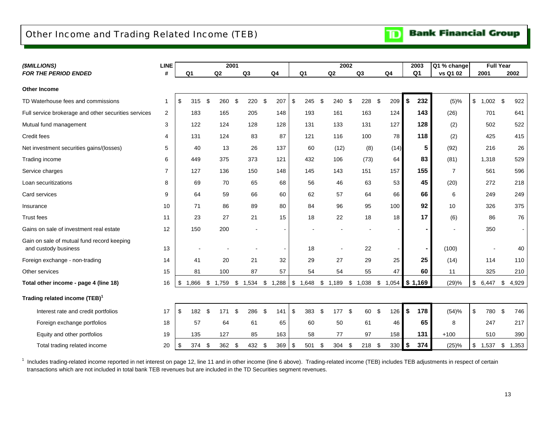### <span id="page-14-0"></span>Other Income and Trading Related Income (TEB)

| (\$MILLIONS)                                                       | <b>LINE</b>    |    |          |                | 2001       |                         |                |               |                | 2002         |     |                |                | 2003           | Q1 % change    |                         | <b>Full Year</b> |                |
|--------------------------------------------------------------------|----------------|----|----------|----------------|------------|-------------------------|----------------|---------------|----------------|--------------|-----|----------------|----------------|----------------|----------------|-------------------------|------------------|----------------|
| <b>FOR THE PERIOD ENDED</b>                                        | #              | Q1 |          | Q2             |            | Q <sub>3</sub>          | Q <sub>4</sub> |               | Q <sub>1</sub> | Q2           |     | Q <sub>3</sub> | Q <sub>4</sub> | Q <sub>1</sub> | vs Q1 02       |                         | 2001             | 2002           |
| <b>Other Income</b>                                                |                |    |          |                |            |                         |                |               |                |              |     |                |                |                |                |                         |                  |                |
| TD Waterhouse fees and commissions                                 | 1              | \$ | 315      | \$             | 260        | \$<br>220               | \$<br>207      | \$            | 245            | \$<br>240    | \$  | 228            | \$<br>209      | \$<br>232      | (5)%           |                         | $$1,002$ \$      | 922            |
| Full service brokerage and other securities services               | $\overline{2}$ |    | 183      |                | 165        | 205                     | 148            |               | 193            | 161          |     | 163            | 124            | 143            | (26)           |                         | 701              | 641            |
| Mutual fund management                                             | 3              |    | 122      |                | 124        | 128                     | 128            |               | 131            | 133          |     | 131            | 127            | 128            | (2)            |                         | 502              | 522            |
| Credit fees                                                        | 4              |    | 131      |                | 124        | 83                      | 87             |               | 121            | 116          |     | 100            | 78             | 118            | (2)            |                         | 425              | 415            |
| Net investment securities gains/(losses)                           | 5              |    | 40       |                | 13         | 26                      | 137            |               | 60             | (12)         |     | (8)            | (14)           | 5              | (92)           |                         | 216              | 26             |
| Trading income                                                     | 6              |    | 449      |                | 375        | 373                     | 121            |               | 432            | 106          |     | (73)           | 64             | 83             | (81)           |                         | 1,318            | 529            |
| Service charges                                                    | 7              |    | 127      |                | 136        | 150                     | 148            |               | 145            | 143          |     | 151            | 157            | 155            | $\overline{7}$ |                         | 561              | 596            |
| Loan securitizations                                               | 8              |    | 69       |                | 70         | 65                      | 68             |               | 56             | 46           |     | 63             | 53             | 45             | (20)           |                         | 272              | 218            |
| Card services                                                      | 9              |    | 64       |                | 59         | 66                      | 60             |               | 62             | 57           |     | 64             | 66             | 66             | 6              |                         | 249              | 249            |
| Insurance                                                          | 10             |    | 71       |                | 86         | 89                      | 80             |               | 84             | 96           |     | 95             | 100            | 92             | 10             |                         | 326              | 375            |
| <b>Trust fees</b>                                                  | 11             |    | 23       |                | 27         | 21                      | 15             |               | 18             | 22           |     | 18             | 18             | 17             | (6)            |                         | 86               | 76             |
| Gains on sale of investment real estate                            | 12             |    | 150      |                | 200        |                         |                |               |                |              |     |                |                |                |                |                         | 350              | $\blacksquare$ |
| Gain on sale of mutual fund record keeping<br>and custody business | 13             |    |          |                |            |                         |                |               | 18             |              |     | 22             |                |                | (100)          |                         |                  | 40             |
| Foreign exchange - non-trading                                     | 14             |    | 41       |                | 20         | 21                      | 32             |               | 29             | 27           |     | 29             | 25             | 25             | (14)           |                         | 114              | 110            |
| Other services                                                     | 15             |    | 81       |                | 100        | 87                      | 57             |               | 54             | 54           |     | 55             | 47             | 60             | 11             |                         | 325              | 210            |
| Total other income - page 4 (line 18)                              | 16             | \$ | 1,866 \$ |                | $1,759$ \$ | 1,534 \$ 1,288 \$ 1,648 |                |               |                | $$1,189$ \$  |     | 1,038 \$ 1,054 |                | \$1,169        | (29)%          | \$                      | 6,447            | \$<br>4,929    |
| Trading related income (TEB) <sup>1</sup>                          |                |    |          |                |            |                         |                |               |                |              |     |                |                |                |                |                         |                  |                |
| Interest rate and credit portfolios                                | 17             | \$ | 182      | $\mathfrak{L}$ | 171        | \$<br>286               | \$<br>141      | $\mathbf{\$}$ | 383            | \$<br>177    | -\$ | 60             | \$<br>126      | \$<br>178      | (54)%          | $\sqrt[6]{\frac{1}{2}}$ | 780              | \$<br>746      |
| Foreign exchange portfolios                                        | 18             |    | 57       |                | 64         | 61                      | 65             |               | 60             | 50           |     | 61             | 46             | 65             | 8              |                         | 247              | 217            |
| Equity and other portfolios                                        | 19             |    | 135      |                | 127        | 85                      | 163            |               | 58             | 77           |     | 97             | 158            | 131            | $+100$         |                         | 510              | 390            |
| Total trading related income                                       | 20             | \$ | 374      | \$             | 362 \$     | 432 \$                  | 369            | \$            | 501            | \$<br>304 \$ |     | 218 \$         | 330            | \$<br>374      | (25)%          | \$                      | 1,537            | \$<br>1,353    |

<sup>1</sup> Includes trading-related income reported in net interest on page 12, line 11 and in other income (line 6 above). Trading-related income (TEB) includes TEB adjustments in respect of certain transactions which are not included in total bank TEB revenues but are included in the TD Securities segment revenues.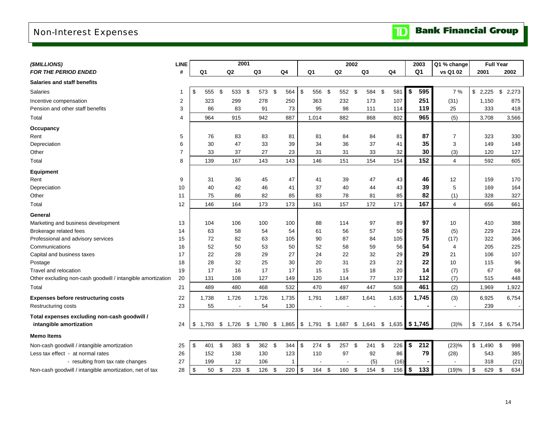# <span id="page-15-0"></span>Non-Interest Expenses

| (\$MILLIONS)                                                | <b>LINE</b>    |                |       |                          | 2001 |       |    |                |                                                                |      |                          | 2002 |                          |             | 2003           | Q1 % change              |                  | <b>Full Year</b> |
|-------------------------------------------------------------|----------------|----------------|-------|--------------------------|------|-------|----|----------------|----------------------------------------------------------------|------|--------------------------|------|--------------------------|-------------|----------------|--------------------------|------------------|------------------|
| FOR THE PERIOD ENDED                                        | #              | Q <sub>1</sub> |       | Q2                       |      | Q3    | Q4 |                | Q <sub>1</sub>                                                 |      | Q2                       |      | Q <sub>3</sub>           | Q4          | Q <sub>1</sub> | vs Q1 02                 | 2001             | 2002             |
| <b>Salaries and staff benefits</b>                          |                |                |       |                          |      |       |    |                |                                                                |      |                          |      |                          |             |                |                          |                  |                  |
| <b>Salaries</b>                                             | $\mathbf 1$    | \$             | 555   | \$<br>533                | \$   | 573   | \$ | 564            | \$<br>556                                                      | - \$ | 552                      | \$   | 584                      | - \$<br>581 | 595<br>\$      | 7%                       | \$2,225          | \$<br>2,273      |
| Incentive compensation                                      | $\overline{2}$ |                | 323   | 299                      |      | 278   |    | 250            | 363                                                            |      | 232                      |      | 173                      | 107         | 251            | (31)                     | 1,150            | 875              |
| Pension and other staff benefits                            | 3              |                | 86    | 83                       |      | 91    |    | 73             | 95                                                             |      | 98                       |      | 111                      | 114         | 119            | 25                       | 333              | 418              |
| Total                                                       | $\overline{4}$ |                | 964   | 915                      |      | 942   |    | 887            | 1,014                                                          |      | 882                      |      | 868                      | 802         | 965            | (5)                      | 3,708            | 3,566            |
| Occupancy                                                   |                |                |       |                          |      |       |    |                |                                                                |      |                          |      |                          |             |                |                          |                  |                  |
| Rent                                                        | 5              |                | 76    | 83                       |      | 83    |    | 81             | 81                                                             |      | 84                       |      | 84                       | 81          | 87             | 7                        | 323              | 330              |
| Depreciation                                                | 6              |                | 30    | 47                       |      | 33    |    | 39             | 34                                                             |      | 36                       |      | 37                       | 41          | 35             | 3                        | 149              | 148              |
| Other                                                       | $\overline{7}$ |                | 33    | 37                       |      | 27    |    | 23             | 31                                                             |      | 31                       |      | 33                       | 32          | 30             | (3)                      | 120              | 127              |
| Total                                                       | 8              |                | 139   | 167                      |      | 143   |    | 143            | 146                                                            |      | 151                      |      | 154                      | 154         | 152            | $\overline{4}$           | 592              | 605              |
| Equipment                                                   |                |                |       |                          |      |       |    |                |                                                                |      |                          |      |                          |             |                |                          |                  |                  |
| Rent                                                        | 9              |                | 31    | 36                       |      | 45    |    | 47             | 41                                                             |      | 39                       |      | 47                       | 43          | 46             | 12                       | 159              | 170              |
| Depreciation                                                | 10             |                | 40    | 42                       |      | 46    |    | 41             | 37                                                             |      | 40                       |      | 44                       | 43          | 39             | 5                        | 169              | 164              |
| Other                                                       | 11             |                | 75    | 86                       |      | 82    |    | 85             | 83                                                             |      | 78                       |      | 81                       | 85          | 82             | (1)                      | 328              | 327              |
| Total                                                       | 12             |                | 146   | 164                      |      | 173   |    | 173            | 161                                                            |      | 157                      |      | 172                      | 171         | 167            | $\overline{4}$           | 656              | 661              |
| General                                                     |                |                |       |                          |      |       |    |                |                                                                |      |                          |      |                          |             |                |                          |                  |                  |
| Marketing and business development                          | 13             |                | 104   | 106                      |      | 100   |    | 100            | 88                                                             |      | 114                      |      | 97                       | 89          | 97             | 10                       | 410              | 388              |
| Brokerage related fees                                      | 14             |                | 63    | 58                       |      | 54    |    | 54             | 61                                                             |      | 56                       |      | 57                       | 50          | 58             | (5)                      | 229              | 224              |
| Professional and advisory services                          | 15             |                | 72    | 82                       |      | 63    |    | 105            | 90                                                             |      | 87                       |      | 84                       | 105         | 75             | (17)                     | 322              | 366              |
| Communications                                              | 16             |                | 52    | 50                       |      | 53    |    | 50             | 52                                                             |      | 58                       |      | 59                       | 56          | 54             | $\overline{4}$           | 205              | 225              |
| Capital and business taxes                                  | 17             |                | 22    | 28                       |      | 29    |    | 27             | 24                                                             |      | 22                       |      | 32                       | 29          | 29             | 21                       | 106              | 107              |
| Postage                                                     | 18             |                | 28    | 32                       |      | 25    |    | 30             | 20                                                             |      | 31                       |      | 23                       | 22          | 22             | 10                       | 115              | 96               |
| Travel and relocation                                       | 19             |                | 17    | 16                       |      | 17    |    | 17             | 15                                                             |      | 15                       |      | 18                       | 20          | 14             | (7)                      | 67               | 68               |
| Other excluding non-cash goodwill / intangible amortization | 20             |                | 131   | 108                      |      | 127   |    | 149            | 120                                                            |      | 114                      |      | 77                       | 137         | 112            | (7)                      | 515              | 448              |
| Total                                                       | 21             |                | 489   | 480                      |      | 468   |    | 532            | 470                                                            |      | 497                      |      | 447                      | 508         | 461            | (2)                      | 1,969            | 1,922            |
| <b>Expenses before restructuring costs</b>                  | 22             |                | 1,738 | 1,726                    |      | 1,726 |    | 1,735          | 1,791                                                          |      | 1,687                    |      | 1,641                    | 1,635       | 1,745          | (3)                      | 6,925            | 6,754            |
| Restructuring costs                                         | 23             |                | 55    | $\overline{\phantom{a}}$ |      | 54    |    | 130            | $\overline{\phantom{a}}$                                       |      | $\overline{\phantom{a}}$ |      | $\overline{\phantom{a}}$ |             |                | $\overline{\phantom{a}}$ | 239              | $\sim$           |
| Total expenses excluding non-cash goodwill /                |                |                |       |                          |      |       |    |                |                                                                |      |                          |      |                          |             |                |                          |                  |                  |
| intangible amortization                                     | 24             | $\sqrt{3}$     | 1,793 |                          |      |       |    |                | \$ 1,726 \$ 1,780 \$ 1,865 \$ 1,791 \$ 1,687 \$ 1,641 \$ 1,635 |      |                          |      |                          |             | \$1,745        | (3)%                     | \$7,164          | 6,754<br>- \$    |
| <b>Memo Items</b>                                           |                |                |       |                          |      |       |    |                |                                                                |      |                          |      |                          |             |                |                          |                  |                  |
| Non-cash goodwill / intangible amortization                 | 25             | \$             | 401   | \$<br>383                | \$   | 362   | \$ | 344            | \$<br>274                                                      | \$   | 257                      | \$   | 241                      | \$<br>226   | \$<br>212      | (23)%                    | \$<br>$1,490$ \$ | 998              |
| Less tax effect - at normal rates                           | 26             |                | 152   | 138                      |      | 130   |    | 123            | 110                                                            |      | 97                       |      | 92                       | 86          | 79             | (28)                     | 543              | 385              |
| - resulting from tax rate changes                           | 27             |                | 199   | 12                       |      | 106   |    | $\overline{1}$ |                                                                |      |                          |      | (5)                      | (16)        |                |                          | 318              | (21)             |
| Non-cash goodwill / intangible amortization, net of tax     | 28             | \$             | 50    | \$<br>233                | \$   | 126   | \$ | 220            | $\sqrt{3}$<br>164                                              | \$   | 160                      | \$   | 154 \$                   | 156         | \$<br>133      | (19)%                    | \$<br>629        | \$<br>634        |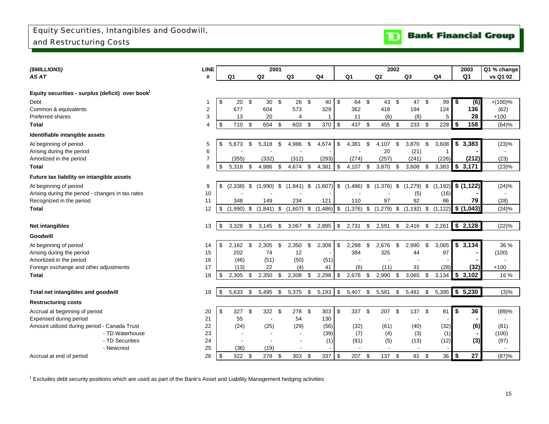<span id="page-16-0"></span>

| (\$MILLIONS)                                     | <b>LINE</b>    |                    |      | 2001         |     |                          |     |                |                            |                | 2002           |      |                           |            |                | 2003           | Q1 % change              |
|--------------------------------------------------|----------------|--------------------|------|--------------|-----|--------------------------|-----|----------------|----------------------------|----------------|----------------|------|---------------------------|------------|----------------|----------------|--------------------------|
| AS AT                                            | #              | Q1                 |      | Q2           |     | Q3                       |     | Q <sub>4</sub> |                            | Q <sub>1</sub> | Q <sub>2</sub> |      | Q3                        |            | Q <sub>4</sub> | Q <sub>1</sub> | vs Q1 02                 |
|                                                  |                |                    |      |              |     |                          |     |                |                            |                |                |      |                           |            |                |                |                          |
| Equity securities - surplus (deficit) over book  |                |                    |      |              |     |                          |     |                |                            |                |                |      |                           |            |                |                |                          |
| Debt                                             |                | \$<br>20           | \$   | 30           | \$  | 26                       | \$  | 40             | \$                         | 64             | \$<br>43       | \$   | 47 \$                     |            | 99             | \$<br>(6)      | $+(100)%$                |
| Common & equivalents                             | 2              | 677                |      | 604          |     | 573                      |     | 329            |                            | 362            | 418            |      | 194                       |            | 124            | 136            | (62)                     |
| Preferred shares                                 | 3              | 13                 |      | 20           |     | 4                        |     | -1             |                            | 11             | (6)            |      | (8)                       |            | 5              | 28             | $+100$                   |
| Total                                            | 4              | \$<br>710          | \$   | 654          | \$  | 603                      | -\$ | 370            | \$                         | 437            | \$<br>455      | - \$ | $233$ \$                  |            | 228            | \$<br>158      | (64)%                    |
| Identifiable intangible assets                   |                |                    |      |              |     |                          |     |                |                            |                |                |      |                           |            |                |                |                          |
| At beginning of period                           | 5              | \$<br>5,673        | \$   | 5,318        | \$  | 4,986                    | \$  | 4,674          | \$                         | 4,381          | \$<br>4,107    | \$   | 3,870                     | \$         | 3,608          | \$<br>3,383    | (23)%                    |
| Arising during the period                        | 6              |                    |      |              |     |                          |     |                |                            |                | 20             |      | (21)                      |            |                |                | $\overline{\phantom{a}}$ |
| Amortized in the period                          | $\overline{7}$ | (355)              |      | (332)        |     | (312)                    |     | (293)          |                            | (274)          | (257)          |      | (241)                     |            | (226)          | (212)          | (23)                     |
| <b>Total</b>                                     | 8              | \$<br>5,318        | - \$ | 4,986        | \$  | 4,674                    | -\$ | 4,381          | \$                         | 4,107          | \$<br>3,870    | \$   | 3,608                     | \$         | 3,383          | \$3,171        | (23)%                    |
| Future tax liability on intangible assets        |                |                    |      |              |     |                          |     |                |                            |                |                |      |                           |            |                |                |                          |
| At beginning of period                           | 9              | \$<br>$(2,338)$ \$ |      | $(1,990)$ \$ |     | $(1,841)$ \$             |     | (1,607)        | \$                         | $(1,486)$ \$   |                |      | $(1,376)$ \$ $(1,279)$ \$ |            | (1, 192)       | \$(1,122)      | (24)%                    |
| Arising during the period - changes in tax rates | 10             |                    |      |              |     |                          |     |                |                            |                |                |      | (5)                       |            | (16)           |                |                          |
| Recognized in the period                         | 11             | 348                |      | 149          |     | 234                      |     | 121            |                            | 110            | 97             |      | 92                        |            | 86             | 79             | (28)                     |
| <b>Total</b>                                     | 12             | \$<br>$(1,990)$ \$ |      | $(1,841)$ \$ |     | (1,607)                  | \$  | $(1,486)$ \$   |                            | $(1,376)$ \$   | (1,279)        | \$   | $(1, 192)$ \$             |            | (1.122)        | \$(1,043)      | (24)%                    |
|                                                  |                |                    |      |              |     |                          |     |                |                            |                |                |      |                           |            |                |                |                          |
| Net intangibles                                  | 13             | \$<br>3,328        | -\$  | 3,145        | \$  | 3,067                    | \$  | 2,895          | \$                         | 2,731          | \$<br>2,591    | \$   | 2,416                     | $^{\circ}$ | 2,261          | \$2,128        | (22)%                    |
| <b>Goodwill</b>                                  |                |                    |      |              |     |                          |     |                |                            |                |                |      |                           |            |                |                |                          |
| At beginning of period                           | 14             | \$<br>2,162        | \$   | 2,305        | \$  | 2,350                    | \$  | 2,308          | \$                         | 2,298          | \$<br>2,676    | \$   | 2,990                     | \$         | 3,065          | \$3,134        | 36 %                     |
| Arising during the period                        | 15             | 202                |      | 74           |     | 12                       |     |                |                            | 384            | 325            |      | 44                        |            | 97             |                | (100)                    |
| Amortized in the period                          | 16             | (46)               |      | (51)         |     | (50)                     |     | (51)           |                            |                |                |      |                           |            |                |                |                          |
| Foreign exchange and other adjustments           | 17             | (13)               |      | 22           |     | (4)                      |     | 41             |                            | (6)            | (11)           |      | 31                        |            | (28)           | (32)           | $+100$                   |
| Total                                            | 18             | \$<br>2,305        | -\$  | 2,350        | \$  | 2,308                    | \$  | 2,298          | \$                         | 2,676          | \$<br>2,990    | \$   | 3,065                     | - \$       | 3,134          | 53,102         | 16 %                     |
|                                                  |                |                    |      |              |     |                          |     |                |                            |                |                |      |                           |            |                |                |                          |
| Total net intangibles and goodwill               | 19             | \$<br>5,633        | \$   | 5,495        | \$  | 5,375                    | \$  | 5,193          | $\boldsymbol{\mathsf{\$}}$ | 5,407          | \$<br>5,581    | \$   | 5,481                     | \$         | 5,395          | \$5,230        | (3)%                     |
| <b>Restructuring costs</b>                       |                |                    |      |              |     |                          |     |                |                            |                |                |      |                           |            |                |                |                          |
| Accrual at beginning of period                   | 20             | \$<br>327          | - \$ | 322 \$       |     | 278                      | -\$ | 303            | \$                         | 337            | \$<br>207      | \$   | 137                       | - \$       | 81             | \$<br>36       | (89)%                    |
| Expensed during period                           | 21             | 55                 |      | $\sim$       |     | 54                       |     | 130            |                            | $\blacksquare$ |                |      |                           |            |                |                |                          |
| Amount utilized during period - Canada Trust     | 22             | (24)               |      | (25)         |     | (29)                     |     | (56)           |                            | (32)           | (61)           |      | (40)                      |            | (32)           | (6)            | (81)                     |
| - TD Waterhouse                                  | 23             |                    |      |              |     | $\sim$                   |     | (39)           |                            | (7)            | (4)            |      | (3)                       |            | (1)            | $\sim$         | (100)                    |
| - TD Securities                                  | 24             |                    |      |              |     | $\overline{\phantom{a}}$ |     | (1)            |                            | (91)           | (5)            |      | (13)                      |            | (12)           | (3)            | (97)                     |
| - Newcrest                                       | 25             | (36)               |      | (19)         |     |                          |     |                |                            |                |                |      |                           |            |                |                | $\blacksquare$           |
| Accrual at end of period                         | 26             | \$<br>322 \$       |      | 278          | -\$ | 303                      | \$  | 337            | \$                         | 207            | \$<br>137 \$   |      | 81                        | \$         | $36$ \$        | 27             | (87)%                    |

 $1$  Excludes debt security positions which are used as part of the Bank's Asset and Liability Management hedging activities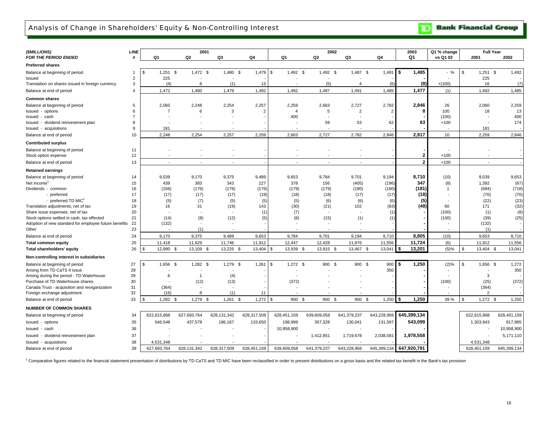### <span id="page-17-0"></span>Analysis of Change in Shareholders' Equity & Non-Controlling Interest

**TD** Bank Financial Group

| (\$MILLIONS)                                                                 | LINE           |                            | 2001                     |                    |                |                          |                          | 2002                     |                 | 2003           | Q1 % change  | <b>Full Year</b> |             |
|------------------------------------------------------------------------------|----------------|----------------------------|--------------------------|--------------------|----------------|--------------------------|--------------------------|--------------------------|-----------------|----------------|--------------|------------------|-------------|
| <b>FOR THE PERIOD ENDED</b>                                                  | #              | Q1                         | Q2                       | Q3                 | Q <sub>4</sub> | Q1                       | Q <sub>2</sub>           | Q3                       | Q4              | Q1             | vs Q1 02     | 2001             | 2002        |
| <b>Preferred shares</b>                                                      |                |                            |                          |                    |                |                          |                          |                          |                 |                |              |                  |             |
| Balance at beginning of period                                               | -1             | $1,251$ \$<br>\$           | $1,472$ \$               | $1,480$ \$         | $1.479$ \$     | $1,492$ \$               | 1,492 \$                 | 1,487 \$                 | 1,491           | \$<br>1,485    | %            | \$<br>$1,251$ \$ | 1,492       |
| Issued                                                                       | $\overline{2}$ | 225                        |                          |                    |                |                          | $\overline{\phantom{a}}$ |                          |                 |                |              | 225              |             |
| Translation on shares issued in foreign currency                             | 3              | (4)                        | 8                        | (1)                | 13             |                          | (5)                      | $\overline{4}$           | (6)             | (8)            | $+(100)$     | 16               | (7)         |
| Balance at end of period                                                     | 4              | 1,472                      | 1,480                    | 1,479              | 1,492          | 1,492                    | 1,487                    | 1,491                    | 1,485           | 1,477          | (1)          | 1,492            | 1,485       |
| <b>Common shares</b>                                                         |                |                            |                          |                    |                |                          |                          |                          |                 |                |              |                  |             |
| Balance at beginning of period                                               | 5              | 2,060                      | 2,248                    | 2,254              | 2,257          | 2,259                    | 2,663                    | 2,727                    | 2,782           | 2,846          | 26           | 2,060            | 2,259       |
| Issued - options                                                             | 6              | $\overline{7}$             | 6                        | 3                  | $\mathcal{P}$  | $\overline{4}$           | 5                        | $\overline{2}$           | $\overline{2}$  | 8              | 100          | 18               | 13          |
| Issued - cash                                                                |                |                            |                          |                    |                | 400                      |                          |                          |                 |                | (100)        |                  | 400         |
| Issued - dividend reinvestment plan                                          | 8              |                            |                          |                    |                |                          | 59                       | 53                       | 62              | 63             | $+100$       |                  | 174         |
| Issued - acquisitions                                                        | 9              | 181                        |                          |                    |                |                          |                          |                          |                 |                |              | 181              |             |
| Balance at end of period                                                     | 10             | 2,248                      | 2,254                    | 2,257              | 2,259          | 2,663                    | 2,727                    | 2,782                    | 2,846           | 2,917          | 10           | 2,259            | 2,846       |
| <b>Contributed surplus</b>                                                   |                |                            |                          |                    |                |                          |                          |                          |                 |                |              |                  |             |
| Balance at beginning of period                                               | 11             |                            |                          |                    |                |                          |                          |                          |                 |                |              |                  |             |
| Stock option expense                                                         | 12             |                            |                          |                    |                |                          |                          |                          |                 | $\overline{2}$ | $+100$       |                  |             |
| Balance at end of period                                                     | 13             | $\overline{\phantom{a}}$   | $\overline{\phantom{a}}$ | $\overline{a}$     |                | $\overline{\phantom{a}}$ | $\overline{a}$           | $\overline{\phantom{a}}$ |                 | $\overline{2}$ | $+100$       |                  |             |
| <b>Retained earnings</b>                                                     |                |                            |                          |                    |                |                          |                          |                          |                 |                |              |                  |             |
| Balance at beginning of period                                               | 14             | 9,039                      | 9,170                    | 9,375              | 9,489          | 9,653                    | 9,784                    | 9,701                    | 9,194           | 8,710          | (10)         | 9,039            | 9,653       |
| Net income                                                                   | 15             | 439                        | 383                      | 343                | 227            | 378                      | 156                      | (405)                    | (196)           | 347            | (8)          | 1,392            | (67)        |
| Dividends - common                                                           | 16             | (156)                      | (176)                    | (176)              | (176)          | (179)                    | (179)                    | (180)                    | (180)           | (181)          | $\mathbf{1}$ | (684)            | (718)       |
| - preferred                                                                  | 17             | (17)                       | (17)                     | (17)               | (19)           | (18)                     | (18)                     | (17)                     | (17)            | (18)           |              | (70)             | (70)        |
| - preferred TD MIC <sup>1</sup>                                              | 18             | (5)                        | (7)                      | (5)                | (5)            | (5)                      | (6)                      | (6)                      | (6)             | (5)            |              | (22)             | (23)        |
| Translation adjustments, net of tax                                          | 19             | 16                         | 31                       | (19)               | 143            | (30)                     | (21)                     | 102                      | (83)            | (48)           | 60           | 171              | (32)        |
| Share issue expenses, net of tax                                             | 20             |                            |                          |                    | (1)            | (7)                      |                          |                          | (1)             |                | (100)        | (1)              | (8)         |
| Stock options settled in cash, tax effected                                  | 21             | (14)                       | (8)                      | (12)               | (5)            | (8)                      | (15)                     | (1)                      |                 |                | (100)        | (39)             | (25)        |
| Adoption of new standard for employee future benefits                        | 22             | (132)                      |                          |                    |                |                          |                          |                          |                 |                |              | (132)            |             |
| Other                                                                        | 23<br>24       | 9,170                      | (1)<br>9.375             | 9,489              | 9.653          | 9,784                    | 9,701                    | 9,194                    |                 | 8,805          | (10)         | (1)<br>9,653     | 8,710       |
| Balance at end of period<br><b>Total common equity</b>                       | 25             | 11,418                     | 11,629                   | 11,746             | 11,912         | 12,447                   | 12,428                   | 11,976                   | 8,710<br>11,556 | 11,724         | (6)          | 11,912           | 11,556      |
|                                                                              | 26             | 12,890<br>$\mathcal{F}$    | 13,109<br>- \$           | 13,225 \$<br>- \$  | 13,404         | 13,939                   | 13,915 \$<br>- \$        | 13,467<br>- \$           | 13,041          | 13,201         | (5)%         | \$<br>13,404 \$  | 13,041      |
| Total shareholders' equity                                                   |                |                            |                          |                    |                |                          |                          |                          |                 |                |              |                  |             |
| Non-controlling interest in subsidiaries                                     |                |                            |                          |                    |                |                          |                          |                          |                 |                |              |                  |             |
| Balance at beginning of period                                               | 27             | 1,656 \$<br>$\mathfrak{s}$ | $1,282$ \$               | 1,279 \$           | 1,261          | \$<br>$1,272$ \$         | 900 \$                   | 900 \$                   | 900             | 1.250<br>\$    | (2)%         | \$<br>1,656 \$   | 1,272       |
| Arising from TD CaTS II issue                                                | 28             |                            |                          |                    |                |                          |                          |                          | 350             |                |              |                  | 350         |
| Arising during the period - TD Waterhouse                                    | 29             | 6                          | -1                       | (4)                |                |                          |                          |                          |                 |                |              | 3                |             |
| Purchase of TD Waterhouse shares                                             | 30<br>31       | (364)                      | (12)                     | (13)               |                | (372)                    |                          |                          |                 |                | (100)        | (25)<br>(364)    | (372)       |
| Canada Trust - acquisition and reorganization<br>Foreign exchange adjustment | 32             | (16)                       | 8                        | (1)                | 11             |                          |                          |                          |                 |                |              | $\overline{2}$   |             |
| Balance at end of period                                                     | 33             | \$<br>$1,282$ \$           | 1,279                    | $1,261$ \$<br>- \$ | 1,272          | 900<br>- \$              | 900<br>\$                | 900<br>- \$<br>- \$      | 1,250           | 1.250          | 39 %         | \$<br>$1,272$ \$ | 1,250       |
|                                                                              |                |                            |                          |                    |                |                          |                          |                          |                 |                |              |                  |             |
| <b>NUMBER OF COMMON SHARES</b>                                               |                |                            |                          |                    |                |                          |                          |                          |                 |                |              |                  |             |
| Balance at beginning of period                                               | 34             | 622,615,868                | 627,693,764              | 628, 131, 342      | 628,317,509    | 628,451,159              | 639,609,058              | 641,379,237              | 643,228,956     | 645,399,134    |              | 622,615,868      | 628,451,159 |
| Issued - options                                                             | 35             | 546,548                    | 437,578                  | 186,167            | 133,650        | 198,999                  | 357,328                  | 130,041                  | 131,597         | 543,099        |              | 1,303,943        | 817,965     |
| Issued - cash                                                                | 36             |                            |                          |                    |                | 10,958,900               |                          |                          |                 |                |              |                  | 10,958,900  |
| dividend reinvestment plan<br>Issued                                         | 37             |                            |                          |                    |                |                          | 1,412,851                | 1,719,678                | 2,038,581       | 1,978,558      |              |                  | 5,171,110   |
| Issued - acquisitions                                                        | 38             | 4,531,348                  |                          |                    |                |                          |                          |                          |                 |                |              | 4,531,348        |             |
| Balance at end of period                                                     | 39             | 627,693,764                | 628,131,342              | 628,317,509        | 628,451,159    | 639,609,058              | 641,379,237              | 643,228,956              | 645,399,134     | 647,920,791    |              | 628,451,159      | 645,399,134 |

<sup>1</sup> Comparative figures related to the financial statement presentation of distributions by TD CaTS and TD MIC have been reclassified in order to present distributions on a gross basis and the related tax benefit in the Ba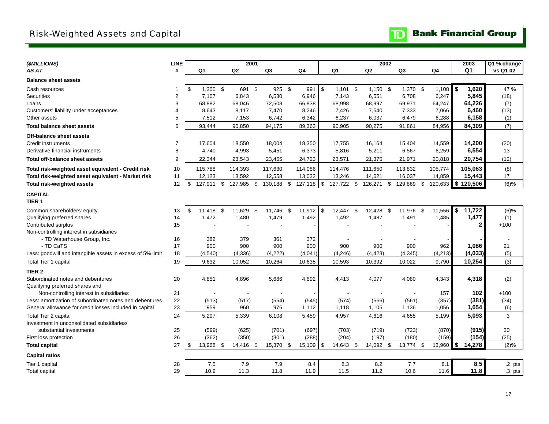# <span id="page-18-0"></span>Risk-Weighted Assets and Capital

| ( <i>SMILLIONS</i> )                                                 | <b>LINE</b>    |                  | 2001           |      |            |             |      |            | 2002           |            |            |          | 2003           |                  | Q1 % change              |
|----------------------------------------------------------------------|----------------|------------------|----------------|------|------------|-------------|------|------------|----------------|------------|------------|----------|----------------|------------------|--------------------------|
| AS AT                                                                | #              | Q1               | Q <sub>2</sub> |      | Q3         | Q4          |      | Q1         | Q <sub>2</sub> |            | Q3         | Q4       | Q <sub>1</sub> |                  | vs Q1 02                 |
| <b>Balance sheet assets</b>                                          |                |                  |                |      |            |             |      |            |                |            |            |          |                |                  |                          |
| Cash resources                                                       | -1             | \$<br>$1,300$ \$ | 691 \$         |      | 925 \$     | 991         | l \$ | $1,101$ \$ | $1,150$ \$     |            | $1,370$ \$ | 1,108    | \$             | 1,620            | 47 %                     |
| <b>Securities</b>                                                    | $\overline{2}$ | 7,107            | 6,843          |      | 6,530      | 6,946       |      | 7,143      | 6,551          |            | 6,708      | 6,247    |                | 5,845            | (18)                     |
| Loans                                                                | 3              | 68,882           | 68,046         |      | 72,508     | 66,838      |      | 68,998     | 68,997         |            | 69,971     | 64,247   |                | 64,226           | (7)                      |
| Customers' liability under acceptances                               | 4              | 8,643            | 8,117          |      | 7,470      | 8,246       |      | 7,426      | 7,540          |            | 7,333      | 7,066    |                | 6,460            | (13)                     |
| Other assets                                                         | 5              | 7,512            | 7,153          |      | 6,742      | 6,342       |      | 6,237      | 6,037          |            | 6,479      | 6,288    |                | 6,158            | (1)                      |
| <b>Total balance sheet assets</b>                                    | 6              | 93,444           | 90,850         |      | 94,175     | 89,363      |      | 90,905     | 90,275         |            | 91,861     | 84,956   |                | 84,309           | (7)                      |
| Off-balance sheet assets                                             |                |                  |                |      |            |             |      |            |                |            |            |          |                |                  |                          |
| <b>Credit instruments</b>                                            | $\overline{7}$ | 17,604           | 18,550         |      | 18,004     | 18,350      |      | 17,755     | 16,164         |            | 15,404     | 14,559   |                | 14,200           | (20)                     |
| Derivative financial instruments                                     | 8              | 4,740            | 4,993          |      | 5,451      | 6,373       |      | 5,816      | 5,211          |            | 6,567      | 6,259    |                | 6,554            | 13                       |
| Total off-balance sheet assets                                       | 9              | 22,344           | 23,543         |      | 23,455     | 24,723      |      | 23,571     | 21,375         |            | 21,971     | 20,818   |                | 20,754           | (12)                     |
| Total risk-weighted asset equivalent - Credit risk                   | 10             | 115,788          | 114,393        |      | 117,630    | 114,086     |      | 114,476    | 111,650        |            | 113,832    | 105,774  | 105,063        |                  | (8)                      |
| Total risk-weighted asset equivalent - Market risk                   | 11             | 12,123           | 13,592         |      | 12,558     | 13,032      |      | 13,246     | 14,621         |            | 16,037     | 14,859   |                | 15,443           | 17                       |
| <b>Total risk-weighted assets</b>                                    | 12             | \$<br>127,911 \$ | 127,985 \$     |      | 130,188 \$ | 127,118     | \$   | 127,722 \$ | 126,271        | $\sqrt{3}$ | 129,869 \$ | 120,633  | \$<br>120,506  |                  | $(6)$ %                  |
| <b>CAPITAL</b>                                                       |                |                  |                |      |            |             |      |            |                |            |            |          |                |                  |                          |
| TIER <sub>1</sub>                                                    |                |                  |                |      |            |             |      |            |                |            |            |          |                |                  |                          |
| Common shareholders' equity                                          | 13             | \$<br>11.418 \$  | 11,629         | - \$ | 11,746 \$  | $11,912$ \$ |      | 12,447 \$  | 12,428 \$      |            | 11,976 \$  | 11,556   | \$             | 11,722           | $(6)$ %                  |
| Qualifying preferred shares                                          | 14             | 1,472            | 1,480          |      | 1,479      | 1,492       |      | 1,492      | 1,487          |            | 1,491      | 1,485    |                | 1,477            | (1)                      |
| Contributed surplus                                                  | 15             |                  |                |      |            |             |      |            |                |            |            |          |                | $\mathbf{2}$     | $+100$                   |
| Non-controlling interest in subsidiaries                             |                |                  |                |      |            |             |      |            |                |            |            |          |                |                  |                          |
| - TD Waterhouse Group, Inc.                                          | 16             | 382              | 379            |      | 361        | 372         |      |            |                |            |            |          |                |                  | $\overline{\phantom{a}}$ |
| - TD CaTS                                                            | 17             | 900              | 900            |      | 900        | 900         |      | 900        | 900            |            | 900        | 962      |                | 1,086            | 21                       |
| Less: goodwill and intangible assets in excess of 5% limit           | 18             | (4, 540)         | (4, 336)       |      | (4, 222)   | (4,041)     |      | (4, 246)   | (4, 423)       |            | (4, 345)   | (4, 213) |                | (4,033)          | (5)                      |
| Total Tier 1 capital                                                 | 19             | 9,632            | 10,052         |      | 10,264     | 10,635      |      | 10,593     | 10,392         |            | 10,022     | 9,790    |                | 10,254           | (3)                      |
| TIER <sub>2</sub>                                                    |                |                  |                |      |            |             |      |            |                |            |            |          |                |                  |                          |
| Subordinated notes and debentures<br>Qualifying preferred shares and | 20             | 4,851            | 4,896          |      | 5,686      | 4,892       |      | 4,413      | 4,077          |            | 4,080      | 4,343    |                | 4,318            | (2)                      |
| Non-controlling interest in subsidiaries                             | 21             |                  | $\blacksquare$ |      |            |             |      |            |                |            |            | 157      |                | 102 <sub>2</sub> | $+100$                   |
| Less: amortization of subordinated notes and debentures              | 22             | (513)            | (517)          |      | (554)      | (545)       |      | (574)      | (566)          |            | (561)      | (357)    |                | (381)            | (34)                     |
| General allowance for credit losses included in capital              | 23             | 959              | 960            |      | 976        | 1,112       |      | 1,118      | 1,105          |            | 1,136      | 1,056    |                | 1,054            | (6)                      |
| <b>Total Tier 2 capital</b>                                          | 24             | 5,297            | 5,339          |      | 6,108      | 5,459       |      | 4,957      | 4,616          |            | 4,655      | 5,199    |                | 5,093            | 3                        |
| Investment in unconsolidated subsidiaries/                           |                |                  |                |      |            |             |      |            |                |            |            |          |                |                  |                          |
| substantial investments                                              | 25             | (599)            | (625)          |      | (701)      | (697)       |      | (703)      | (719)          |            | (723)      | (870)    |                | (915)            | 30                       |
| First loss protection                                                | 26             | (362)            | (350)          |      | (301)      | (288)       |      | (204)      | (197)          |            | (180)      | (159)    |                | (154)            | (25)                     |
| <b>Total capital</b>                                                 | 27             | \$<br>13,968 \$  | 14,416 \$      |      | 15,370 \$  | 15,109      | \$   | 14,643 \$  | 14,092 \$      |            | 13,774 \$  | 13,960   | \$             | 14,278           | (2)%                     |
| <b>Capital ratios</b>                                                |                |                  |                |      |            |             |      |            |                |            |            |          |                |                  |                          |
| Tier 1 capital                                                       | 28             | 7.5              | 7.9            |      | 7.9        | 8.4         |      | 8.3        | 8.2            |            | 7.7        | 8.1      |                | 8.5              | .2 pts                   |
| <b>Total capital</b>                                                 | 29             | 10.9             | 11.3           |      | 11.8       | 11.9        |      | 11.5       | 11.2           |            | 10.6       | 11.6     |                | 11.8             | $.3$ pts                 |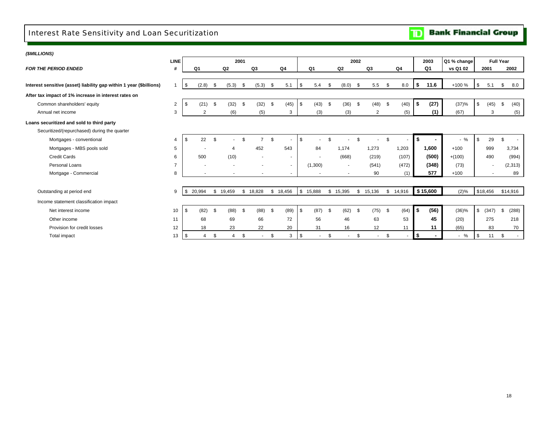### <span id="page-19-0"></span>Interest Rate Sensitivity and Loan Securitization

|  | <b>Bank Financial Group</b> |  |
|--|-----------------------------|--|
|--|-----------------------------|--|

÷

| (\$MILLIONS)                                                        |                |     |                |          |           |          |                          |          |          |            |                          |      |                          |      |        |                                |           |          |             |             |                  |          |
|---------------------------------------------------------------------|----------------|-----|----------------|----------|-----------|----------|--------------------------|----------|----------|------------|--------------------------|------|--------------------------|------|--------|--------------------------------|-----------|----------|-------------|-------------|------------------|----------|
|                                                                     | <b>LINE</b>    |     |                |          |           | 2001     |                          |          |          |            |                          |      |                          | 2002 |        |                                |           | 2003     | Q1 % change |             | <b>Full Year</b> |          |
| <b>FOR THE PERIOD ENDED</b>                                         | #              |     | Q <sub>1</sub> |          | Q2        |          | Q3                       |          | Q4       |            | Q1                       |      | Q <sub>2</sub>           |      | Q3     | Q4                             |           | Q1       | vs Q1 02    | 2001        |                  | 2002     |
|                                                                     |                |     |                |          |           |          |                          |          |          |            |                          |      |                          |      |        |                                |           |          |             |             |                  |          |
| Interest sensitive (asset) liability gap within 1 year (\$billions) |                | \$  | (2.8)          | - \$     | (5.3)     | <b>S</b> | (5.3)                    | \$       | 5.1      | $\sqrt{3}$ | 5.4                      | -9   | (8.0)                    | - \$ | 5.5    | \$<br>8.0                      | <b>\$</b> | 11.6     | +100 %      | \$<br>5.1   | \$               | 8.0      |
| After tax impact of 1% increase in interest rates on                |                |     |                |          |           |          |                          |          |          |            |                          |      |                          |      |        |                                |           |          |             |             |                  |          |
| Common shareholders' equity                                         | 2              |     | (21)           | \$       | $(32)$ \$ |          | (32)                     | \$       | (45)     | $\sqrt{3}$ | (43)                     | - \$ | (36)                     | - \$ | (48)   | \$<br>(40)                     | \$        | (27)     | (37)%       | \$<br>(45)  | \$               | (40)     |
| Annual net income                                                   | 3              |     | 2              |          | (6)       |          | (5)                      |          | 3        |            | (3)                      |      | (3)                      |      | 2      | (5)                            |           | (1)      | (67)        | 3           |                  | (5)      |
| Loans securitized and sold to third party                           |                |     |                |          |           |          |                          |          |          |            |                          |      |                          |      |        |                                |           |          |             |             |                  |          |
| Securitized/(repurchased) during the quarter                        |                |     |                |          |           |          |                          |          |          |            |                          |      |                          |      |        |                                |           |          |             |             |                  |          |
| Mortgages - conventional                                            | 4              |     | 22             | \$.      |           |          | $\overline{7}$           | <b>β</b> |          | \$         |                          |      |                          |      |        |                                | \$        |          | $-$ %       | \$<br>29    | \$               | $\sim$   |
| Mortgages - MBS pools sold                                          | 5              |     |                |          |           |          | 452                      |          | 543      |            | 84                       |      | 1.174                    |      | 1,273  | 1,203                          |           | 1,600    | $+100$      | 999         |                  | 3,734    |
| <b>Credit Cards</b>                                                 | 6              |     | 500            |          | (10)      |          | $\overline{\phantom{a}}$ |          | $\sim$   |            | $\overline{\phantom{a}}$ |      | (668)                    |      | (219)  | (107)                          |           | (500)    | $+(100)$    | 490         |                  | (994)    |
| Personal Loans                                                      | $\overline{7}$ |     |                |          |           |          |                          |          | $\sim$   |            | (1,300)                  |      | $\sim$                   |      | (541)  | (472)                          |           | (348)    | (73)        | ۰           |                  | (2, 313) |
| Mortgage - Commercial                                               | 8              |     |                |          |           |          |                          |          | ۰        |            | $\overline{\phantom{a}}$ |      | $\overline{\phantom{a}}$ |      | 90     | (1)                            |           | 577      | $+100$      |             |                  | 89       |
|                                                                     |                |     |                |          |           |          |                          |          |          |            |                          |      |                          |      |        |                                |           |          |             |             |                  |          |
| Outstanding at period end                                           | 9              | -\$ | 20,994         |          | \$19,459  |          | \$18,828                 |          | \$18,456 | $\sqrt{3}$ | 15,888                   |      | \$15,395                 | \$   | 15,136 | \$14,916                       |           | \$15,600 | (2)%        | \$18,456    | \$14,916         |          |
| Income statement classification impact                              |                |     |                |          |           |          |                          |          |          |            |                          |      |                          |      |        |                                |           |          |             |             |                  |          |
| Net interest income                                                 | 10             | \$  | (82)           | <b>S</b> | $(88)$ \$ |          | (88)                     | \$       | (89)     | $\sqrt{3}$ | $(87)$ \$                |      | (62)                     | \$   | (75)   | \$<br>(64)                     | \$        | (56)     | (36)%       | \$<br>(347) | \$               | (288)    |
| Other income                                                        | 11             |     | 68             |          | 69        |          | 66                       |          | 72       |            | 56                       |      | 46                       |      | 63     | 53                             |           | 45       | (20)        | 275         |                  | 218      |
| Provision for credit losses                                         | 12             |     | 18             |          | 23        |          | 22                       |          | 20       |            | 31                       |      | 16                       |      | 12     | 11                             |           | 11       | (65)        | 83          |                  | 70       |
| <b>Total impact</b>                                                 | 13             | -\$ | 4              | \$       | 4         | \$       | $\sim$                   | \$       | 3        | l \$       | $\overline{\phantom{a}}$ | \$   | $\sim$                   | \$   | $\sim$ | \$<br>$\overline{\phantom{a}}$ | $\bullet$ |          | $-$ %       | \$<br>11    | \$               | $\sim$   |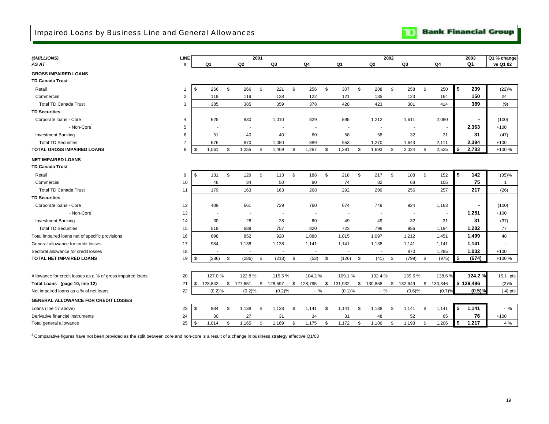**Bank Financial Group**  $\mathbf{D}$ 

<span id="page-20-0"></span>

| Q <sub>1</sub><br>#<br>Q <sub>1</sub><br>Q2<br>Q <sub>3</sub><br>Q <sub>4</sub><br>Q <sub>1</sub><br>Q2<br>Q <sub>3</sub><br>Q <sub>4</sub><br>AS AT<br><b>GROSS IMPAIRED LOANS</b><br><b>TD Canada Trust</b><br>$\mathbf{s}$<br>$\mathbb S$<br>$\mathfrak s$<br>\$<br>\$<br>\$<br>\$<br>\$<br>\$<br>239<br>266<br>266<br>221<br>256<br>307<br>288<br>258<br>250<br>Retail<br>$\mathbf{1}$ | Q1 % change<br>vs Q1 02<br>(22)%<br>24<br>(9) |
|--------------------------------------------------------------------------------------------------------------------------------------------------------------------------------------------------------------------------------------------------------------------------------------------------------------------------------------------------------------------------------------------|-----------------------------------------------|
|                                                                                                                                                                                                                                                                                                                                                                                            |                                               |
|                                                                                                                                                                                                                                                                                                                                                                                            |                                               |
|                                                                                                                                                                                                                                                                                                                                                                                            |                                               |
|                                                                                                                                                                                                                                                                                                                                                                                            |                                               |
| 150<br>Commercial<br>$\overline{2}$<br>119<br>119<br>138<br>122<br>121<br>135<br>123<br>164                                                                                                                                                                                                                                                                                                |                                               |
| <b>Total TD Canada Trust</b><br>3<br>385<br>385<br>359<br>378<br>428<br>423<br>381<br>414<br>389                                                                                                                                                                                                                                                                                           |                                               |
| <b>TD Securities</b>                                                                                                                                                                                                                                                                                                                                                                       |                                               |
| 625<br>830<br>Corporate loans - Core<br>1,010<br>829<br>895<br>1,212<br>1,611<br>2,080<br>4                                                                                                                                                                                                                                                                                                | (100)                                         |
| - Non-Core <sup>1</sup><br>2,363<br>5                                                                                                                                                                                                                                                                                                                                                      | $+100$                                        |
| 58<br>58<br>32<br>31<br><b>Investment Banking</b><br>6<br>51<br>40<br>40<br>60<br>31                                                                                                                                                                                                                                                                                                       | (47)                                          |
| 2,394<br><b>Total TD Securities</b><br>$\overline{7}$<br>676<br>870<br>1,050<br>889<br>953<br>1,270<br>1,643<br>2,111                                                                                                                                                                                                                                                                      | $+100$                                        |
| \$<br>5<br>2,783<br><b>TOTAL GROSS IMPAIRED LOANS</b><br>1,061<br>1,255<br>\$<br>1,267<br>1,381<br>\$<br>\$<br>\$<br>8<br>\$<br>1,409<br>\$<br>1,693<br>2,024<br>2,525<br>- \$                                                                                                                                                                                                             | +100 %                                        |
| <b>NET IMPAIRED LOANS</b>                                                                                                                                                                                                                                                                                                                                                                  |                                               |
| <b>TD Canada Trust</b>                                                                                                                                                                                                                                                                                                                                                                     |                                               |
| $\mathbf{s}$<br>\$<br>142<br>\$<br>\$<br>\$<br>\$<br>\$<br>\$<br>9<br>\$<br>131<br>129<br>113<br>188<br>218<br>217<br>188<br>152<br>Retail                                                                                                                                                                                                                                                 | (35)%                                         |
| 75<br>10<br>50<br>74<br>68<br>Commercial<br>48<br>34<br>80<br>82<br>105                                                                                                                                                                                                                                                                                                                    | $\overline{1}$                                |
| 217<br>163<br><b>Total TD Canada Trust</b><br>179<br>163<br>268<br>292<br>299<br>256<br>257<br>11                                                                                                                                                                                                                                                                                          | (26)                                          |
| <b>TD Securities</b>                                                                                                                                                                                                                                                                                                                                                                       |                                               |
| 729<br>760<br>674<br>749<br>Corporate loans - Core<br>12<br>489<br>661<br>924<br>1,163                                                                                                                                                                                                                                                                                                     | (100)                                         |
| - Non-Core <sup>1</sup><br>1,251<br>13<br>$\overline{\phantom{a}}$<br>$\overline{\phantom{a}}$<br>$\sim$<br>$\overline{\phantom{a}}$<br>$\overline{\phantom{a}}$<br>$\overline{\phantom{a}}$                                                                                                                                                                                               | $+100$                                        |
| 31<br><b>Investment Banking</b><br>14<br>30<br>28<br>28<br>60<br>49<br>49<br>32<br>31                                                                                                                                                                                                                                                                                                      | (37)                                          |
| 1,282<br><b>Total TD Securities</b><br>689<br>757<br>820<br>723<br>798<br>956<br>1,194<br>15<br>519                                                                                                                                                                                                                                                                                        | 77                                            |
| 852<br>920<br>1,015<br>1.097<br>1,212<br>1,499<br>Total impaired loans net of specific provisions<br>16<br>698<br>1,088<br>1,451                                                                                                                                                                                                                                                           | 48                                            |
| 1,138<br>1,138<br>1,138<br>1,141<br>General allowance for credit losses<br>17<br>984<br>1,141<br>1,141<br>1,141<br>1,141                                                                                                                                                                                                                                                                   |                                               |
| 1,032<br>Sectoral allowance for credit losses<br>18<br>870<br>1,285<br>$\overline{\phantom{a}}$<br>$\overline{\phantom{a}}$<br>$\overline{\phantom{a}}$<br>$\overline{\phantom{a}}$<br>۰.                                                                                                                                                                                                  | $+100$                                        |
| l \$<br>\$<br><b>TOTAL NET IMPAIRED LOANS</b><br>\$<br>(286)<br><b>S</b><br>\$<br>(53)<br>(126)<br>\$<br>(41)<br>\$<br>\$<br>(975)<br>(674)<br>19<br>(286)<br>-S<br>(218)<br>(799)                                                                                                                                                                                                         | +100 %                                        |
|                                                                                                                                                                                                                                                                                                                                                                                            |                                               |
| 104.2%<br>102.4%<br>124.2%<br>127.0%<br>122.8%<br>115.5 %<br>109.1%<br>139.5%<br>138.6%<br>Allowance for credit losses as a % of gross impaired loans<br>20                                                                                                                                                                                                                                | 15.1 pts                                      |
| \$<br>\$129,496<br>\$<br>\$<br>\$<br>$\mathfrak s$<br>131,932<br>\$<br>$\mathfrak{S}$<br>\$<br>Total Loans (page 10, line 12)<br>21<br>128,842<br>127,651<br>128,597<br>128,795<br>130,858<br>132,649<br>130,346                                                                                                                                                                           | $(2)\%$                                       |
| 22<br>(0.5)%<br>$-$ %<br>$-$ %<br>Net impaired loans as a % of net loans<br>(0.2)%<br>(0.2)%<br>(0.2)%<br>(0.6)%<br>$(0.7)$ %<br>(0.1)%                                                                                                                                                                                                                                                    | $(4)$ pts                                     |
| <b>GENERAL ALLOWANCE FOR CREDIT LOSSES</b>                                                                                                                                                                                                                                                                                                                                                 |                                               |
| $\mathbb S$<br>\$<br>1,138<br>\$<br>1,138<br>\$<br>\$<br>\$<br>\$<br>1,141<br>\$<br>984<br>\$<br>1,141<br>1,141<br>1,138<br>1,141<br>1,141<br>Loans (line 17 above)<br>23                                                                                                                                                                                                                  | $-$ %                                         |
| 76<br>Derivative financial instruments<br>24<br>27<br>31<br>31<br>48<br>52<br>30<br>34<br>65                                                                                                                                                                                                                                                                                               | $+100$                                        |
| \$<br>1,217<br>1,014<br>1,165<br>\$<br>1,169<br>\$<br>\$<br>1,172<br>\$<br>1,186<br>\$<br>1,193<br>\$<br>1,206<br>25<br>\$<br>\$<br>1,175<br>Total general allowance                                                                                                                                                                                                                       | 4 %                                           |

1 Comparative figures have not been provided as the split between core and non-core is a result of a change in business strategy effective Q1/03